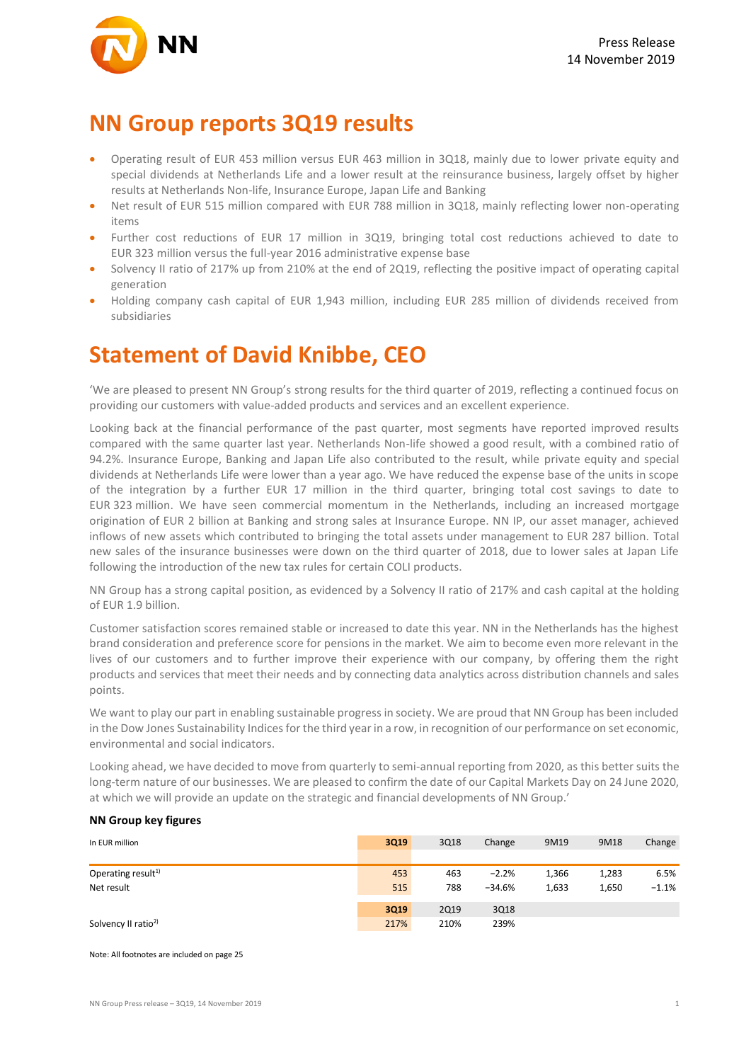

### **NN Group reports 3Q19 results**

- Operating result of EUR 453 million versus EUR 463 million in 3Q18, mainly due to lower private equity and special dividends at Netherlands Life and a lower result at the reinsurance business, largely offset by higher results at Netherlands Non-life, Insurance Europe, Japan Life and Banking
- Net result of EUR 515 million compared with EUR 788 million in 3Q18, mainly reflecting lower non-operating items
- Further cost reductions of EUR 17 million in 3Q19, bringing total cost reductions achieved to date to EUR 323 million versus the full-year 2016 administrative expense base
- Solvency II ratio of 217% up from 210% at the end of 2Q19, reflecting the positive impact of operating capital generation
- Holding company cash capital of EUR 1,943 million, including EUR 285 million of dividends received from subsidiaries

### **Statement of David Knibbe, CEO**

'We are pleased to present NN Group's strong results for the third quarter of 2019, reflecting a continued focus on providing our customers with value-added products and services and an excellent experience.

Looking back at the financial performance of the past quarter, most segments have reported improved results compared with the same quarter last year. Netherlands Non-life showed a good result, with a combined ratio of 94.2%. Insurance Europe, Banking and Japan Life also contributed to the result, while private equity and special dividends at Netherlands Life were lower than a year ago. We have reduced the expense base of the units in scope of the integration by a further EUR 17 million in the third quarter, bringing total cost savings to date to EUR 323 million. We have seen commercial momentum in the Netherlands, including an increased mortgage origination of EUR 2 billion at Banking and strong sales at Insurance Europe. NN IP, our asset manager, achieved inflows of new assets which contributed to bringing the total assets under management to EUR 287 billion. Total new sales of the insurance businesses were down on the third quarter of 2018, due to lower sales at Japan Life following the introduction of the new tax rules for certain COLI products.

NN Group has a strong capital position, as evidenced by a Solvency II ratio of 217% and cash capital at the holding of EUR 1.9 billion.

Customer satisfaction scores remained stable or increased to date this year. NN in the Netherlands has the highest brand consideration and preference score for pensions in the market. We aim to become even more relevant in the lives of our customers and to further improve their experience with our company, by offering them the right products and services that meet their needs and by connecting data analytics across distribution channels and sales points.

We want to play our part in enabling sustainable progress in society. We are proud that NN Group has been included in the Dow Jones Sustainability Indices for the third year in a row, in recognition of our performance on set economic, environmental and social indicators.

Looking ahead, we have decided to move from quarterly to semi-annual reporting from 2020, as this better suits the long-term nature of our businesses. We are pleased to confirm the date of our Capital Markets Day on 24 June 2020, at which we will provide an update on the strategic and financial developments of NN Group.'

#### **NN Group key figures**

| In EUR million                  | 3Q19 | 3Q18        | Change   | 9M19  | 9M18  | Change   |
|---------------------------------|------|-------------|----------|-------|-------|----------|
|                                 |      |             |          |       |       |          |
| Operating result <sup>1)</sup>  | 453  | 463         | $-2.2%$  | 1,366 | 1,283 | 6.5%     |
| Net result                      | 515  | 788         | $-34.6%$ | 1,633 | 1,650 | $-1.1\%$ |
|                                 |      |             |          |       |       |          |
|                                 | 3Q19 | <b>2Q19</b> | 3Q18     |       |       |          |
| Solvency II ratio <sup>2)</sup> | 217% | 210%        | 239%     |       |       |          |

Note: All footnotes are included on page 25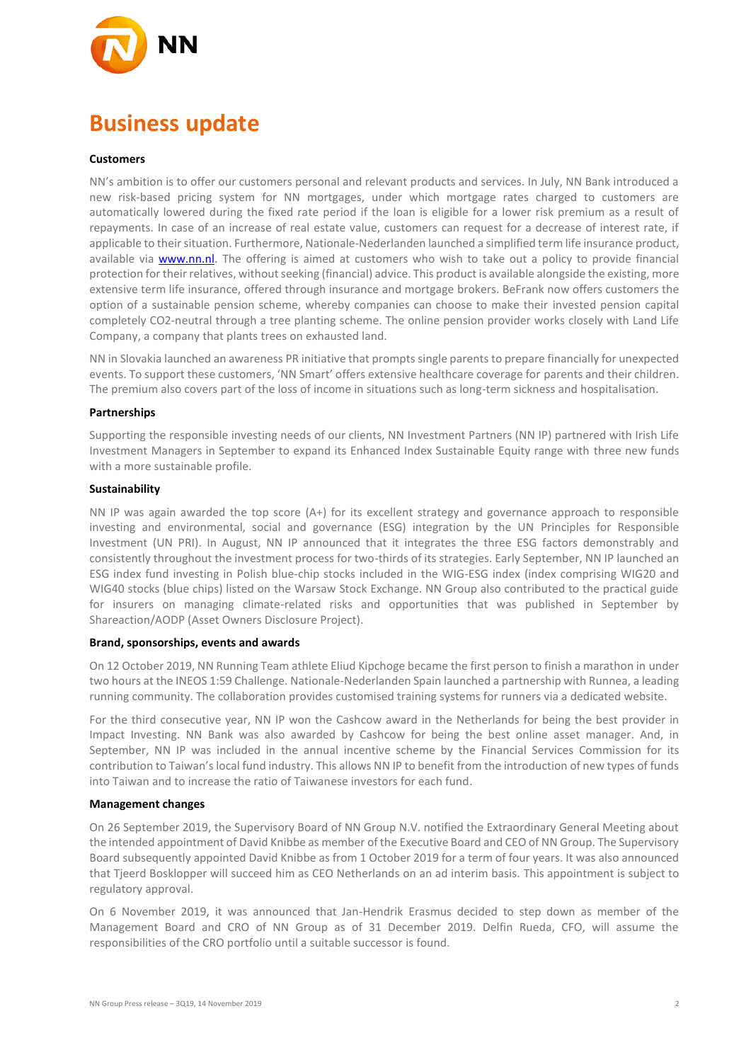

## **Business update**

#### **Customers**

NN's ambition is to offer our customers personal and relevant products and services. In July, NN Bank introduced a new risk-based pricing system for NN mortgages, under which mortgage rates charged to customers are automatically lowered during the fixed rate period if the loan is eligible for a lower risk premium as a result of repayments. In case of an increase of real estate value, customers can request for a decrease of interest rate, if applicable to their situation. Furthermore, Nationale-Nederlanden launched a simplified term life insurance product, available via [www.nn.nl.](http://www.nn.nl/) The offering is aimed at customers who wish to take out a policy to provide financial protection for their relatives, without seeking (financial) advice. This product is available alongside the existing, more extensive term life insurance, offered through insurance and mortgage brokers. BeFrank now offers customers the option of a sustainable pension scheme, whereby companies can choose to make their invested pension capital completely CO2-neutral through a tree planting scheme. The online pension provider works closely with Land Life Company, a company that plants trees on exhausted land.

NN in Slovakia launched an awareness PR initiative that prompts single parents to prepare financially for unexpected events. To support these customers, 'NN Smart' offers extensive healthcare coverage for parents and their children. The premium also covers part of the loss of income in situations such as long-term sickness and hospitalisation.

#### **Partnerships**

Supporting the responsible investing needs of our clients, NN Investment Partners (NN IP) partnered with Irish Life Investment Managers in September to expand its Enhanced Index Sustainable Equity range with three new funds with a more sustainable profile.

#### **Sustainability**

NN IP was again awarded the top score (A+) for its excellent strategy and governance approach to responsible investing and environmental, social and governance (ESG) integration by the UN Principles for Responsible Investment (UN PRI). In August, NN IP announced that it integrates the three ESG factors demonstrably and consistently throughout the investment process for two-thirds of its strategies. Early September, NN IP launched an ESG index fund investing in Polish blue-chip stocks included in the WIG-ESG index (index comprising WIG20 and WIG40 stocks (blue chips) listed on the Warsaw Stock Exchange. NN Group also contributed to the practical guide for insurers on managing climate-related risks and opportunities that was published in September by Shareaction/AODP (Asset Owners Disclosure Project).

#### **Brand, sponsorships, events and awards**

On 12 October 2019, NN Running Team athlete Eliud Kipchoge became the first person to finish a marathon in under two hours at the INEOS 1:59 Challenge. Nationale-Nederlanden Spain launched a partnership with Runnea, a leading running community. The collaboration provides customised training systems for runners via a dedicated website.

For the third consecutive year, NN IP won the Cashcow award in the Netherlands for being the best provider in Impact Investing. NN Bank was also awarded by Cashcow for being the best online asset manager. And, in September, NN IP was included in the annual incentive scheme by the Financial Services Commission for its contribution to Taiwan's local fund industry. This allows NN IP to benefit from the introduction of new types of funds into Taiwan and to increase the ratio of Taiwanese investors for each fund.

#### **Management changes**

On 26 September 2019, the Supervisory Board of NN Group N.V. notified the Extraordinary General Meeting about the intended appointment of David Knibbe as member of the Executive Board and CEO of NN Group. The Supervisory Board subsequently appointed David Knibbe as from 1 October 2019 for a term of four years. It was also announced that Tjeerd Bosklopper will succeed him as CEO Netherlands on an ad interim basis. This appointment is subject to regulatory approval.

On 6 November 2019, it was announced that Jan-Hendrik Erasmus decided to step down as member of the Management Board and CRO of NN Group as of 31 December 2019. Delfin Rueda, CFO, will assume the responsibilities of the CRO portfolio until a suitable successor is found.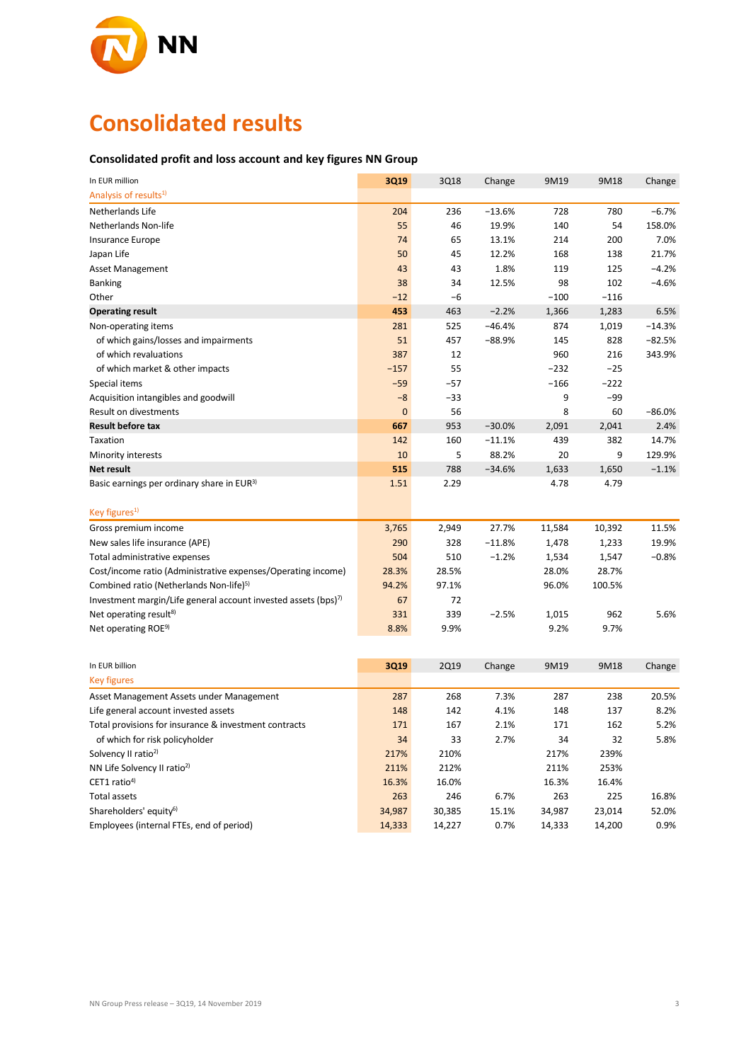

## **Consolidated results**

#### **Consolidated profit and loss account and key figures NN Group**

| In EUR million                                                                                | 3Q19             | 3Q18             | Change   | 9M19             | 9M18         | Change   |
|-----------------------------------------------------------------------------------------------|------------------|------------------|----------|------------------|--------------|----------|
| Analysis of results <sup>1)</sup>                                                             |                  |                  |          |                  |              |          |
| Netherlands Life                                                                              | 204              | 236              | $-13.6%$ | 728              | 780          | $-6.7%$  |
| Netherlands Non-life                                                                          | 55               | 46               | 19.9%    | 140              | 54           | 158.0%   |
| <b>Insurance Europe</b>                                                                       | 74               | 65               | 13.1%    | 214              | 200          | 7.0%     |
| Japan Life                                                                                    | 50               | 45               | 12.2%    | 168              | 138          | 21.7%    |
| <b>Asset Management</b>                                                                       | 43               | 43               | 1.8%     | 119              | 125          | $-4.2%$  |
| <b>Banking</b>                                                                                | 38               | 34               | 12.5%    | 98               | 102          | $-4.6%$  |
| Other                                                                                         | $-12$            | -6               |          | $-100$           | $-116$       |          |
| <b>Operating result</b>                                                                       | 453              | 463              | $-2.2%$  | 1,366            | 1,283        | 6.5%     |
| Non-operating items                                                                           | 281              | 525              | $-46.4%$ | 874              | 1,019        | $-14.3%$ |
| of which gains/losses and impairments                                                         | 51               | 457              | $-88.9%$ | 145              | 828          | $-82.5%$ |
| of which revaluations                                                                         | 387              | 12               |          | 960              | 216          | 343.9%   |
| of which market & other impacts                                                               | $-157$           | 55               |          | $-232$           | $-25$        |          |
| Special items                                                                                 | $-59$            | $-57$            |          | $-166$           | $-222$       |          |
| Acquisition intangibles and goodwill                                                          | $-8$             | $-33$            |          | 9                | $-99$        |          |
| Result on divestments                                                                         | 0                | 56               |          | 8                | 60           | $-86.0%$ |
| <b>Result before tax</b>                                                                      | 667              | 953              | $-30.0%$ | 2,091            | 2,041        | 2.4%     |
| Taxation                                                                                      | 142              | 160              | $-11.1%$ | 439              | 382          | 14.7%    |
| Minority interests                                                                            | 10               | 5                | 88.2%    | 20               | 9            | 129.9%   |
| Net result                                                                                    | 515              | 788              | $-34.6%$ | 1,633            | 1,650        | $-1.1%$  |
| Basic earnings per ordinary share in EUR <sup>3)</sup>                                        | 1.51             | 2.29             |          | 4.78             | 4.79         |          |
|                                                                                               |                  |                  |          |                  |              |          |
| Key figures <sup>1)</sup>                                                                     |                  |                  |          |                  |              |          |
| Gross premium income                                                                          | 3,765            | 2,949            | 27.7%    | 11,584           | 10,392       | 11.5%    |
| New sales life insurance (APE)                                                                | 290              | 328              | $-11.8%$ | 1,478            | 1,233        | 19.9%    |
| Total administrative expenses                                                                 | 504              | 510              | $-1.2%$  | 1,534            | 1,547        | $-0.8%$  |
| Cost/income ratio (Administrative expenses/Operating income)                                  | 28.3%            | 28.5%            |          | 28.0%            | 28.7%        |          |
| Combined ratio (Netherlands Non-life) <sup>5)</sup>                                           | 94.2%            | 97.1%            |          | 96.0%            | 100.5%       |          |
| Investment margin/Life general account invested assets (bps) <sup>7)</sup>                    | 67               | 72               |          |                  |              |          |
| Net operating result <sup>8)</sup>                                                            | 331              | 339              | $-2.5%$  | 1,015            | 962          | 5.6%     |
| Net operating ROE <sup>9)</sup>                                                               | 8.8%             | 9.9%             |          | 9.2%             | 9.7%         |          |
|                                                                                               |                  |                  |          |                  |              |          |
| In EUR billion                                                                                | 3Q19             | <b>2Q19</b>      | Change   | 9M19             | 9M18         | Change   |
| <b>Key figures</b>                                                                            |                  |                  |          |                  |              |          |
|                                                                                               | 287              | 268              | 7.3%     | 287              | 238          | 20.5%    |
| Asset Management Assets under Management                                                      | 148              | 142              | 4.1%     | 148              | 137          | 8.2%     |
| Life general account invested assets<br>Total provisions for insurance & investment contracts | 171              | 167              | 2.1%     | 171              | 162          | 5.2%     |
|                                                                                               | 34               | 33               | 2.7%     | 34               | 32           | 5.8%     |
| of which for risk policyholder                                                                |                  |                  |          |                  |              |          |
| Solvency II ratio <sup>2)</sup><br>NN Life Solvency II ratio <sup>2)</sup>                    | 217%<br>211%     | 210%<br>212%     |          | 217%<br>211%     | 239%<br>253% |          |
| CET1 ratio <sup>4)</sup>                                                                      | 16.3%            | 16.0%            |          | 16.3%            | 16.4%        |          |
| <b>Total assets</b>                                                                           | 263              | 246              | 6.7%     | 263              | 225          | 16.8%    |
| Shareholders' equity <sup>6)</sup>                                                            |                  |                  | 15.1%    |                  | 23,014       | 52.0%    |
| Employees (internal FTEs, end of period)                                                      | 34,987<br>14,333 | 30,385<br>14,227 | 0.7%     | 34,987<br>14,333 | 14,200       | 0.9%     |
|                                                                                               |                  |                  |          |                  |              |          |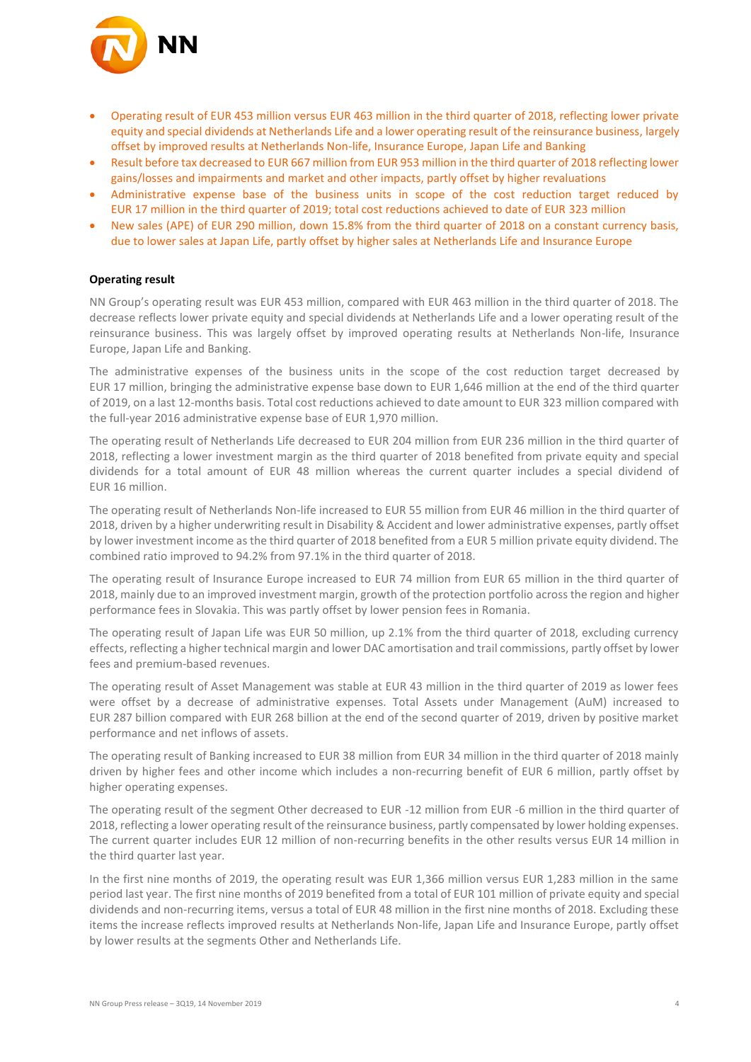

- Operating result of EUR 453 million versus EUR 463 million in the third quarter of 2018, reflecting lower private equity and special dividends at Netherlands Life and a lower operating result of the reinsurance business, largely offset by improved results at Netherlands Non-life, Insurance Europe, Japan Life and Banking
- Result before tax decreased to EUR 667 million from EUR 953 million in the third quarter of 2018 reflecting lower gains/losses and impairments and market and other impacts, partly offset by higher revaluations
- Administrative expense base of the business units in scope of the cost reduction target reduced by EUR 17 million in the third quarter of 2019; total cost reductions achieved to date of EUR 323 million
- New sales (APE) of EUR 290 million, down 15.8% from the third quarter of 2018 on a constant currency basis, due to lower sales at Japan Life, partly offset by higher sales at Netherlands Life and Insurance Europe

#### **Operating result**

NN Group's operating result was EUR 453 million, compared with EUR 463 million in the third quarter of 2018. The decrease reflects lower private equity and special dividends at Netherlands Life and a lower operating result of the reinsurance business. This was largely offset by improved operating results at Netherlands Non-life, Insurance Europe, Japan Life and Banking.

The administrative expenses of the business units in the scope of the cost reduction target decreased by EUR 17 million, bringing the administrative expense base down to EUR 1,646 million at the end of the third quarter of 2019, on a last 12-months basis. Total cost reductions achieved to date amount to EUR 323 million compared with the full-year 2016 administrative expense base of EUR 1,970 million.

The operating result of Netherlands Life decreased to EUR 204 million from EUR 236 million in the third quarter of 2018, reflecting a lower investment margin as the third quarter of 2018 benefited from private equity and special dividends for a total amount of EUR 48 million whereas the current quarter includes a special dividend of EUR 16 million.

The operating result of Netherlands Non-life increased to EUR 55 million from EUR 46 million in the third quarter of 2018, driven by a higher underwriting result in Disability & Accident and lower administrative expenses, partly offset by lower investment income as the third quarter of 2018 benefited from a EUR 5 million private equity dividend. The combined ratio improved to 94.2% from 97.1% in the third quarter of 2018.

The operating result of Insurance Europe increased to EUR 74 million from EUR 65 million in the third quarter of 2018, mainly due to an improved investment margin, growth of the protection portfolio across the region and higher performance fees in Slovakia. This was partly offset by lower pension fees in Romania.

The operating result of Japan Life was EUR 50 million, up 2.1% from the third quarter of 2018, excluding currency effects, reflecting a higher technical margin and lower DAC amortisation and trail commissions, partly offset by lower fees and premium-based revenues.

The operating result of Asset Management was stable at EUR 43 million in the third quarter of 2019 as lower fees were offset by a decrease of administrative expenses. Total Assets under Management (AuM) increased to EUR 287 billion compared with EUR 268 billion at the end of the second quarter of 2019, driven by positive market performance and net inflows of assets.

The operating result of Banking increased to EUR 38 million from EUR 34 million in the third quarter of 2018 mainly driven by higher fees and other income which includes a non-recurring benefit of EUR 6 million, partly offset by higher operating expenses.

The operating result of the segment Other decreased to EUR -12 million from EUR -6 million in the third quarter of 2018, reflecting a lower operating result of the reinsurance business, partly compensated by lower holding expenses. The current quarter includes EUR 12 million of non-recurring benefits in the other results versus EUR 14 million in the third quarter last year.

In the first nine months of 2019, the operating result was EUR 1,366 million versus EUR 1,283 million in the same period last year. The first nine months of 2019 benefited from a total of EUR 101 million of private equity and special dividends and non-recurring items, versus a total of EUR 48 million in the first nine months of 2018. Excluding these items the increase reflects improved results at Netherlands Non-life, Japan Life and Insurance Europe, partly offset by lower results at the segments Other and Netherlands Life.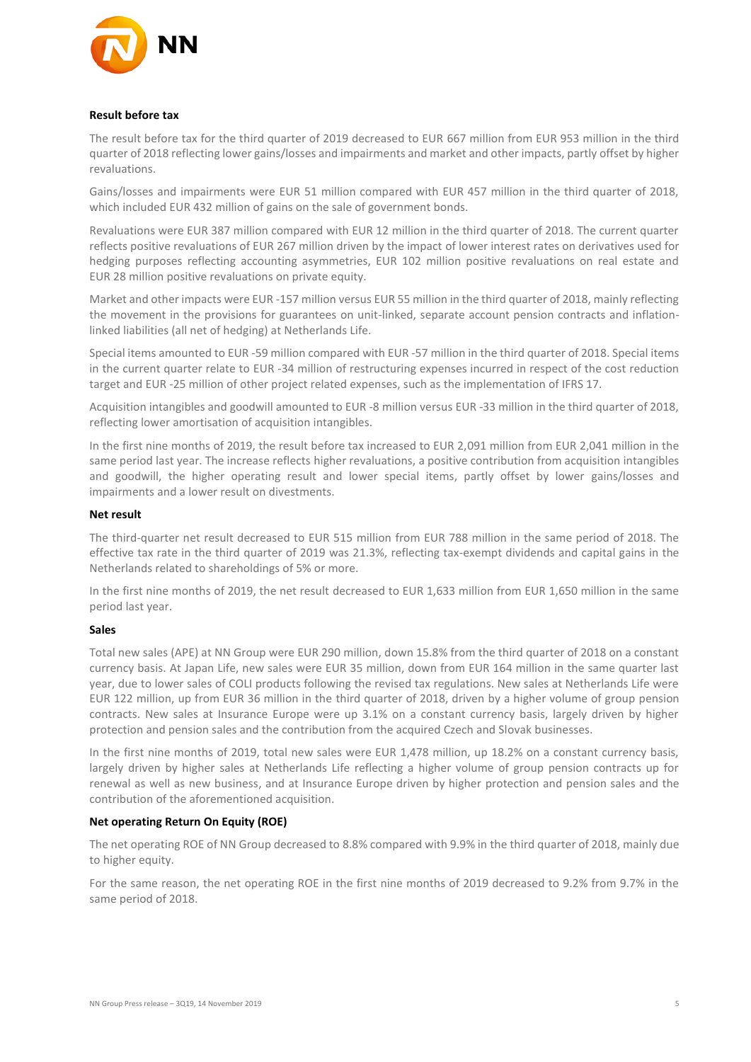

#### **Result before tax**

The result before tax for the third quarter of 2019 decreased to EUR 667 million from EUR 953 million in the third quarter of 2018 reflecting lower gains/losses and impairments and market and other impacts, partly offset by higher revaluations.

Gains/losses and impairments were EUR 51 million compared with EUR 457 million in the third quarter of 2018, which included EUR 432 million of gains on the sale of government bonds.

Revaluations were EUR 387 million compared with EUR 12 million in the third quarter of 2018. The current quarter reflects positive revaluations of EUR 267 million driven by the impact of lower interest rates on derivatives used for hedging purposes reflecting accounting asymmetries, EUR 102 million positive revaluations on real estate and EUR 28 million positive revaluations on private equity.

Market and other impacts were EUR -157 million versus EUR 55 million in the third quarter of 2018, mainly reflecting the movement in the provisions for guarantees on unit-linked, separate account pension contracts and inflationlinked liabilities (all net of hedging) at Netherlands Life.

Special items amounted to EUR -59 million compared with EUR -57 million in the third quarter of 2018. Special items in the current quarter relate to EUR -34 million of restructuring expenses incurred in respect of the cost reduction target and EUR ‐25 million of other project related expenses, such as the implementation of IFRS 17.

Acquisition intangibles and goodwill amounted to EUR ‐8 million versus EUR ‐33 million in the third quarter of 2018, reflecting lower amortisation of acquisition intangibles.

In the first nine months of 2019, the result before tax increased to EUR 2,091 million from EUR 2,041 million in the same period last year. The increase reflects higher revaluations, a positive contribution from acquisition intangibles and goodwill, the higher operating result and lower special items, partly offset by lower gains/losses and impairments and a lower result on divestments.

#### **Net result**

The third-quarter net result decreased to EUR 515 million from EUR 788 million in the same period of 2018. The effective tax rate in the third quarter of 2019 was 21.3%, reflecting tax-exempt dividends and capital gains in the Netherlands related to shareholdings of 5% or more.

In the first nine months of 2019, the net result decreased to EUR 1,633 million from EUR 1,650 million in the same period last year.

#### **Sales**

Total new sales (APE) at NN Group were EUR 290 million, down 15.8% from the third quarter of 2018 on a constant currency basis. At Japan Life, new sales were EUR 35 million, down from EUR 164 million in the same quarter last year, due to lower sales of COLI products following the revised tax regulations. New sales at Netherlands Life were EUR 122 million, up from EUR 36 million in the third quarter of 2018, driven by a higher volume of group pension contracts. New sales at Insurance Europe were up 3.1% on a constant currency basis, largely driven by higher protection and pension sales and the contribution from the acquired Czech and Slovak businesses.

In the first nine months of 2019, total new sales were EUR 1,478 million, up 18.2% on a constant currency basis, largely driven by higher sales at Netherlands Life reflecting a higher volume of group pension contracts up for renewal as well as new business, and at Insurance Europe driven by higher protection and pension sales and the contribution of the aforementioned acquisition.

#### **Net operating Return On Equity (ROE)**

The net operating ROE of NN Group decreased to 8.8% compared with 9.9% in the third quarter of 2018, mainly due to higher equity.

For the same reason, the net operating ROE in the first nine months of 2019 decreased to 9.2% from 9.7% in the same period of 2018.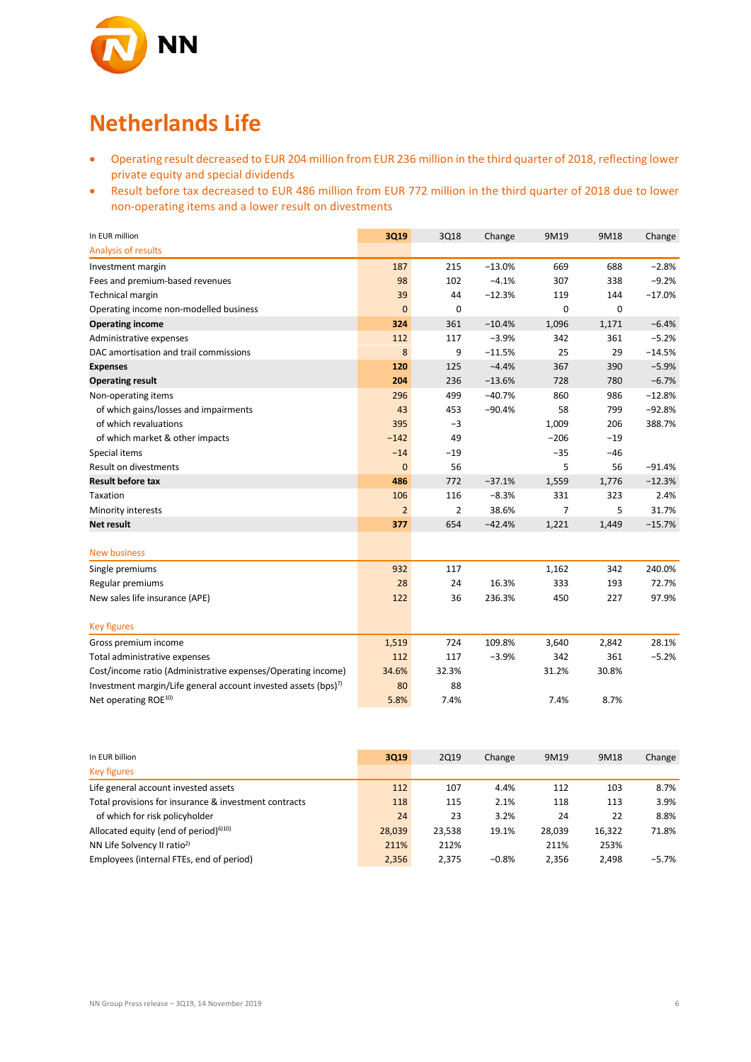

### **Netherlands Life**

- Operating result decreased to EUR 204 million from EUR 236 million in the third quarter of 2018, reflecting lower private equity and special dividends
- Result before tax decreased to EUR 486 million from EUR 772 million in the third quarter of 2018 due to lower non-operating items and a lower result on divestments

| In EUR million                                                             | <b>3Q19</b>    | 3Q18  | Change   | 9M19   | 9M18  | Change   |
|----------------------------------------------------------------------------|----------------|-------|----------|--------|-------|----------|
| Analysis of results                                                        |                |       |          |        |       |          |
| Investment margin                                                          | 187            | 215   | $-13.0%$ | 669    | 688   | $-2.8%$  |
| Fees and premium-based revenues                                            | 98             | 102   | $-4.1%$  | 307    | 338   | $-9.2%$  |
| Technical margin                                                           | 39             | 44    | $-12.3%$ | 119    | 144   | $-17.0%$ |
| Operating income non-modelled business                                     | $\mathbf{0}$   | 0     |          | 0      | 0     |          |
| <b>Operating income</b>                                                    | 324            | 361   | $-10.4%$ | 1,096  | 1,171 | $-6.4%$  |
| Administrative expenses                                                    | 112            | 117   | $-3.9%$  | 342    | 361   | $-5.2%$  |
| DAC amortisation and trail commissions                                     | 8              | 9     | $-11.5%$ | 25     | 29    | $-14.5%$ |
| <b>Expenses</b>                                                            | 120            | 125   | $-4.4%$  | 367    | 390   | $-5.9%$  |
| <b>Operating result</b>                                                    | 204            | 236   | $-13.6%$ | 728    | 780   | $-6.7%$  |
| Non-operating items                                                        | 296            | 499   | $-40.7%$ | 860    | 986   | $-12.8%$ |
| of which gains/losses and impairments                                      | 43             | 453   | $-90.4%$ | 58     | 799   | $-92.8%$ |
| of which revaluations                                                      | 395            | $-3$  |          | 1,009  | 206   | 388.7%   |
| of which market & other impacts                                            | $-142$         | 49    |          | $-206$ | $-19$ |          |
| Special items                                                              | $-14$          | $-19$ |          | $-35$  | $-46$ |          |
| Result on divestments                                                      | $\overline{0}$ | 56    |          | 5      | 56    | $-91.4%$ |
| <b>Result before tax</b>                                                   | 486            | 772   | $-37.1%$ | 1,559  | 1,776 | $-12.3%$ |
| Taxation                                                                   | 106            | 116   | $-8.3%$  | 331    | 323   | 2.4%     |
| Minority interests                                                         | $\overline{2}$ | 2     | 38.6%    | 7      | 5     | 31.7%    |
| <b>Net result</b>                                                          | 377            | 654   | $-42.4%$ | 1,221  | 1,449 | $-15.7%$ |
|                                                                            |                |       |          |        |       |          |
| <b>New business</b>                                                        |                |       |          |        |       |          |
| Single premiums                                                            | 932            | 117   |          | 1,162  | 342   | 240.0%   |
| Regular premiums                                                           | 28             | 24    | 16.3%    | 333    | 193   | 72.7%    |
| New sales life insurance (APE)                                             | 122            | 36    | 236.3%   | 450    | 227   | 97.9%    |
|                                                                            |                |       |          |        |       |          |
| <b>Key figures</b>                                                         |                |       |          |        |       |          |
| Gross premium income                                                       | 1,519          | 724   | 109.8%   | 3,640  | 2,842 | 28.1%    |
| Total administrative expenses                                              | 112            | 117   | $-3.9%$  | 342    | 361   | $-5.2%$  |
| Cost/income ratio (Administrative expenses/Operating income)               | 34.6%          | 32.3% |          | 31.2%  | 30.8% |          |
| Investment margin/Life general account invested assets (bps) <sup>7)</sup> | 80             | 88    |          |        |       |          |
| Net operating ROE <sup>10)</sup>                                           | 5.8%           | 7.4%  |          | 7.4%   | 8.7%  |          |

| In EUR billion                                        | 3Q19   | 2Q19   | Change  | 9M19   | 9M18   | Change  |
|-------------------------------------------------------|--------|--------|---------|--------|--------|---------|
| <b>Key figures</b>                                    |        |        |         |        |        |         |
| Life general account invested assets                  | 112    | 107    | 4.4%    | 112    | 103    | 8.7%    |
| Total provisions for insurance & investment contracts | 118    | 115    | 2.1%    | 118    | 113    | 3.9%    |
| of which for risk policyholder                        | 24     | 23     | 3.2%    | 24     | 22     | 8.8%    |
| Allocated equity (end of period) $610$                | 28.039 | 23,538 | 19.1%   | 28,039 | 16,322 | 71.8%   |
| NN Life Solvency II ratio <sup>2)</sup>               | 211%   | 212%   |         | 211%   | 253%   |         |
| Employees (internal FTEs, end of period)              | 2.356  | 2.375  | $-0.8%$ | 2.356  | 2.498  | $-5.7%$ |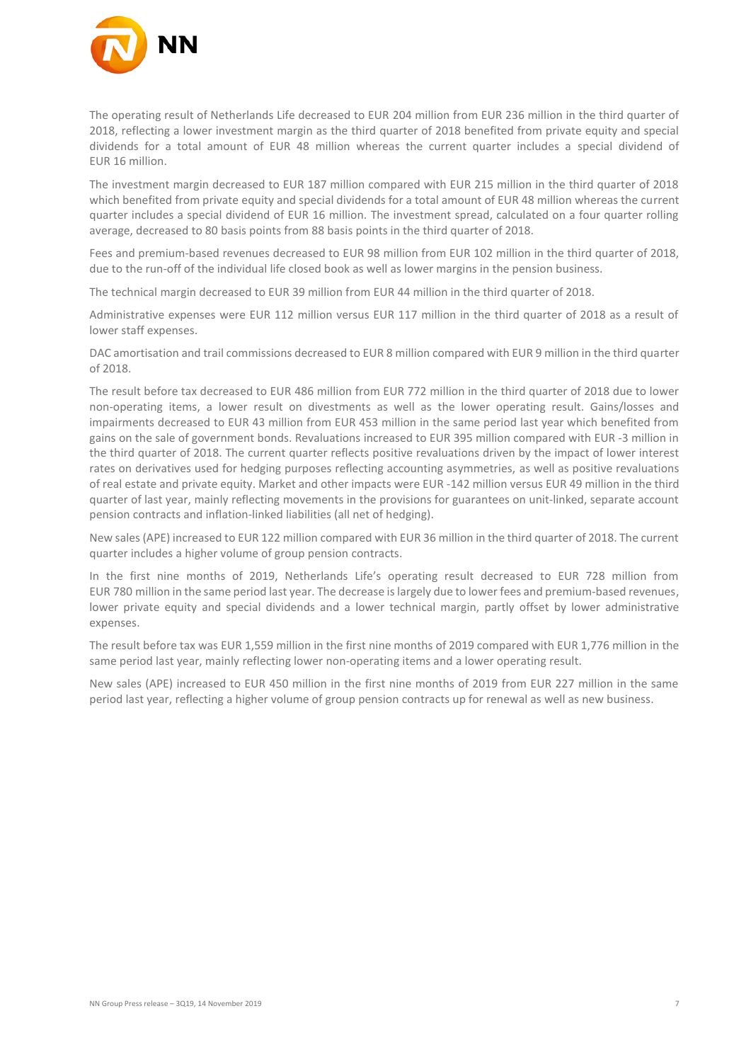

The operating result of Netherlands Life decreased to EUR 204 million from EUR 236 million in the third quarter of 2018, reflecting a lower investment margin as the third quarter of 2018 benefited from private equity and special dividends for a total amount of EUR 48 million whereas the current quarter includes a special dividend of EUR 16 million.

The investment margin decreased to EUR 187 million compared with EUR 215 million in the third quarter of 2018 which benefited from private equity and special dividends for a total amount of EUR 48 million whereas the current quarter includes a special dividend of EUR 16 million. The investment spread, calculated on a four quarter rolling average, decreased to 80 basis points from 88 basis points in the third quarter of 2018.

Fees and premium‐based revenues decreased to EUR 98 million from EUR 102 million in the third quarter of 2018, due to the run‐off of the individual life closed book as well as lower margins in the pension business.

The technical margin decreased to EUR 39 million from EUR 44 million in the third quarter of 2018.

Administrative expenses were EUR 112 million versus EUR 117 million in the third quarter of 2018 as a result of lower staff expenses.

DAC amortisation and trail commissions decreased to EUR 8 million compared with EUR 9 million in the third quarter of 2018.

The result before tax decreased to EUR 486 million from EUR 772 million in the third quarter of 2018 due to lower non-operating items, a lower result on divestments as well as the lower operating result. Gains/losses and impairments decreased to EUR 43 million from EUR 453 million in the same period last year which benefited from gains on the sale of government bonds. Revaluations increased to EUR 395 million compared with EUR ‐3 million in the third quarter of 2018. The current quarter reflects positive revaluations driven by the impact of lower interest rates on derivatives used for hedging purposes reflecting accounting asymmetries, as well as positive revaluations of real estate and private equity. Market and other impacts were EUR ‐142 million versus EUR 49 million in the third quarter of last year, mainly reflecting movements in the provisions for guarantees on unit‐linked, separate account pension contracts and inflation‐linked liabilities (all net of hedging).

New sales (APE) increased to EUR 122 million compared with EUR 36 million in the third quarter of 2018. The current quarter includes a higher volume of group pension contracts.

In the first nine months of 2019, Netherlands Life's operating result decreased to EUR 728 million from EUR 780 million in the same period last year. The decrease is largely due to lower fees and premium‐based revenues, lower private equity and special dividends and a lower technical margin, partly offset by lower administrative expenses.

The result before tax was EUR 1,559 million in the first nine months of 2019 compared with EUR 1,776 million in the same period last year, mainly reflecting lower non-operating items and a lower operating result.

New sales (APE) increased to EUR 450 million in the first nine months of 2019 from EUR 227 million in the same period last year, reflecting a higher volume of group pension contracts up for renewal as well as new business.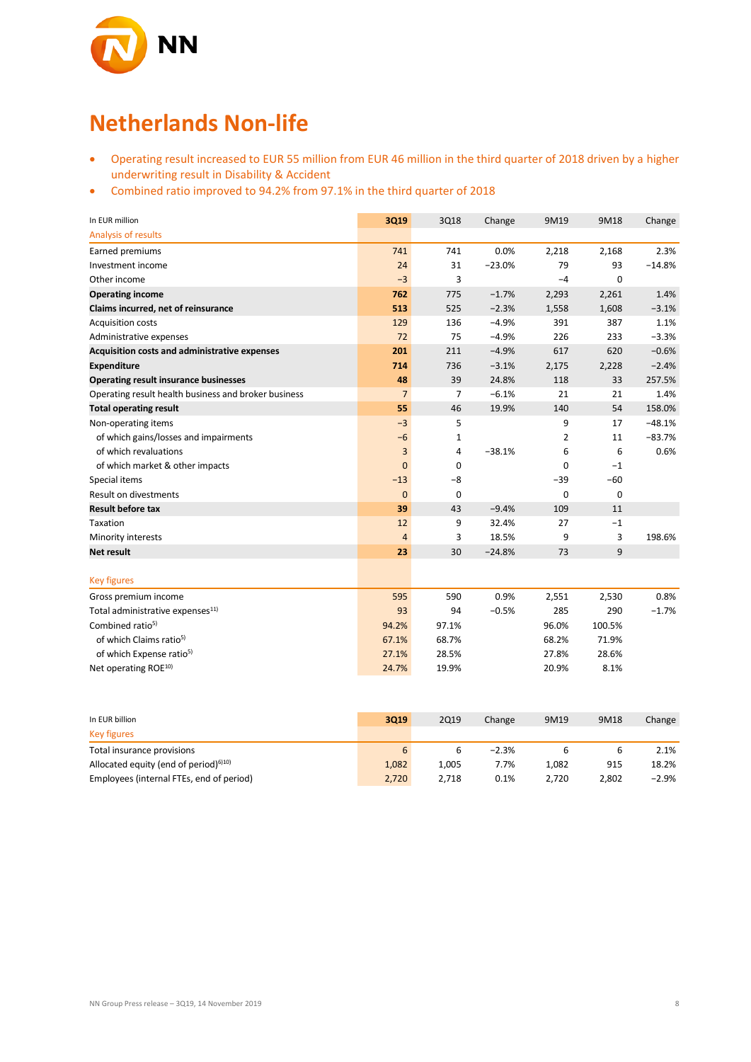

## **Netherlands Non-life**

- Operating result increased to EUR 55 million from EUR 46 million in the third quarter of 2018 driven by a higher underwriting result in Disability & Accident
- Combined ratio improved to 94.2% from 97.1% in the third quarter of 2018

| In EUR million                                       | 3Q19           | 3Q18           | Change   | 9M19        | 9M18   | Change   |
|------------------------------------------------------|----------------|----------------|----------|-------------|--------|----------|
| Analysis of results                                  |                |                |          |             |        |          |
| Earned premiums                                      | 741            | 741            | 0.0%     | 2,218       | 2,168  | 2.3%     |
| Investment income                                    | 24             | 31             | $-23.0%$ | 79          | 93     | $-14.8%$ |
| Other income                                         | $-3$           | 3              |          | $-4$        | 0      |          |
| <b>Operating income</b>                              | 762            | 775            | $-1.7%$  | 2,293       | 2,261  | 1.4%     |
| Claims incurred, net of reinsurance                  | 513            | 525            | $-2.3%$  | 1,558       | 1,608  | $-3.1%$  |
| <b>Acquisition costs</b>                             | 129            | 136            | $-4.9%$  | 391         | 387    | 1.1%     |
| Administrative expenses                              | 72             | 75             | $-4.9%$  | 226         | 233    | $-3.3%$  |
| Acquisition costs and administrative expenses        | 201            | 211            | $-4.9%$  | 617         | 620    | $-0.6%$  |
| <b>Expenditure</b>                                   | 714            | 736            | $-3.1%$  | 2,175       | 2,228  | $-2.4%$  |
| Operating result insurance businesses                | 48             | 39             | 24.8%    | 118         | 33     | 257.5%   |
| Operating result health business and broker business | $\overline{7}$ | $\overline{7}$ | $-6.1%$  | 21          | 21     | 1.4%     |
| <b>Total operating result</b>                        | 55             | 46             | 19.9%    | 140         | 54     | 158.0%   |
| Non-operating items                                  | $-3$           | 5              |          | 9           | 17     | $-48.1%$ |
| of which gains/losses and impairments                | $-6$           | 1              |          | 2           | 11     | $-83.7%$ |
| of which revaluations                                | 3              | 4              | $-38.1%$ | 6           | 6      | 0.6%     |
| of which market & other impacts                      | $\Omega$       | 0              |          | 0           | $-1$   |          |
| Special items                                        | $-13$          | $-8$           |          | $-39$       | $-60$  |          |
| <b>Result on divestments</b>                         | $\mathbf 0$    | 0              |          | $\mathbf 0$ | 0      |          |
| <b>Result before tax</b>                             | 39             | 43             | $-9.4%$  | 109         | 11     |          |
| Taxation                                             | 12             | 9              | 32.4%    | 27          | $-1$   |          |
| Minority interests                                   | $\overline{4}$ | 3              | 18.5%    | 9           | 3      | 198.6%   |
| <b>Net result</b>                                    | 23             | 30             | $-24.8%$ | 73          | 9      |          |
|                                                      |                |                |          |             |        |          |
| <b>Key figures</b>                                   |                |                |          |             |        |          |
| Gross premium income                                 | 595            | 590            | 0.9%     | 2,551       | 2,530  | 0.8%     |
| Total administrative expenses <sup>11)</sup>         | 93             | 94             | $-0.5%$  | 285         | 290    | $-1.7%$  |
| Combined ratio <sup>5)</sup>                         | 94.2%          | 97.1%          |          | 96.0%       | 100.5% |          |
| of which Claims ratio <sup>5)</sup>                  | 67.1%          | 68.7%          |          | 68.2%       | 71.9%  |          |
| of which Expense ratio <sup>5)</sup>                 | 27.1%          | 28.5%          |          | 27.8%       | 28.6%  |          |
| Net operating ROE <sup>10)</sup>                     | 24.7%          | 19.9%          |          | 20.9%       | 8.1%   |          |

| In EUR billion                                                 | 3019  | <b>2Q19</b> | Change  | 9M19  | 9M18  | Change   |
|----------------------------------------------------------------|-------|-------------|---------|-------|-------|----------|
| Key figures                                                    |       |             |         |       |       |          |
| Total insurance provisions                                     | 6     |             | $-2.3%$ |       |       | 2.1%     |
| Allocated equity (end of period) <sup><math>6)10)</math></sup> | 1.082 | 1.005       | 7.7%    | 1.082 | 915   | 18.2%    |
| Employees (internal FTEs, end of period)                       | 2,720 | 2.718       | 0.1%    | 2.720 | 2.802 | $-2.9\%$ |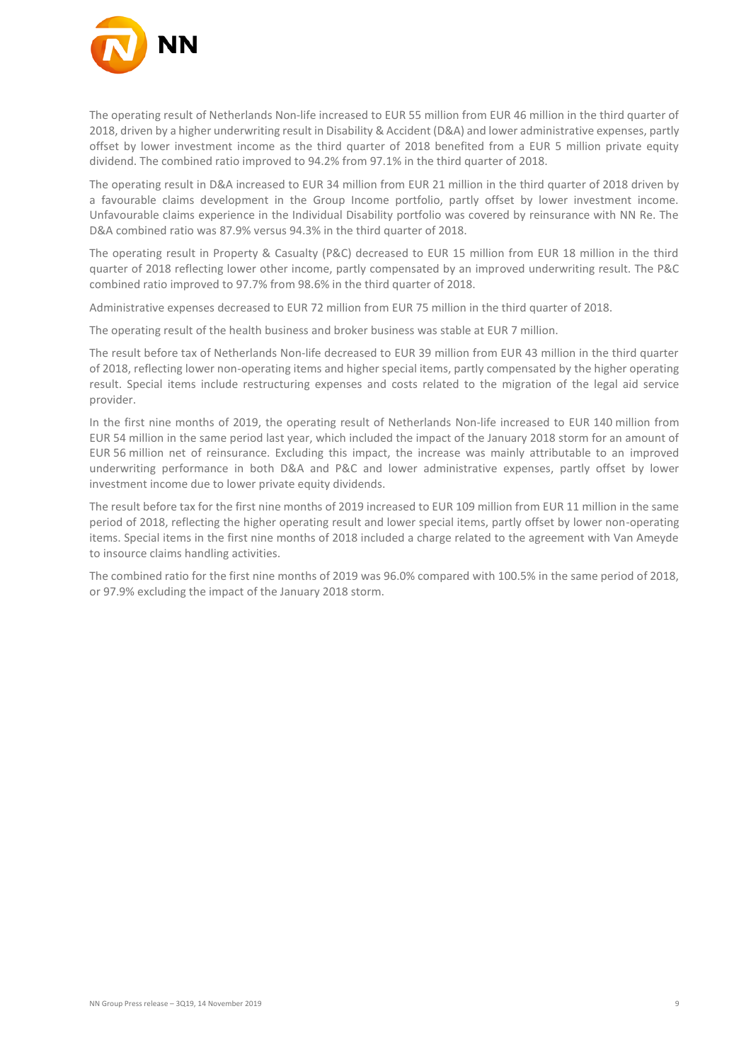

The operating result of Netherlands Non-life increased to EUR 55 million from EUR 46 million in the third quarter of 2018, driven by a higher underwriting result in Disability & Accident (D&A) and lower administrative expenses, partly offset by lower investment income as the third quarter of 2018 benefited from a EUR 5 million private equity dividend. The combined ratio improved to 94.2% from 97.1% in the third quarter of 2018.

The operating result in D&A increased to EUR 34 million from EUR 21 million in the third quarter of 2018 driven by a favourable claims development in the Group Income portfolio, partly offset by lower investment income. Unfavourable claims experience in the Individual Disability portfolio was covered by reinsurance with NN Re. The D&A combined ratio was 87.9% versus 94.3% in the third quarter of 2018.

The operating result in Property & Casualty (P&C) decreased to EUR 15 million from EUR 18 million in the third quarter of 2018 reflecting lower other income, partly compensated by an improved underwriting result. The P&C combined ratio improved to 97.7% from 98.6% in the third quarter of 2018.

Administrative expenses decreased to EUR 72 million from EUR 75 million in the third quarter of 2018.

The operating result of the health business and broker business was stable at EUR 7 million.

The result before tax of Netherlands Non-life decreased to EUR 39 million from EUR 43 million in the third quarter of 2018, reflecting lower non-operating items and higher special items, partly compensated by the higher operating result. Special items include restructuring expenses and costs related to the migration of the legal aid service provider.

In the first nine months of 2019, the operating result of Netherlands Non-life increased to EUR 140 million from EUR 54 million in the same period last year, which included the impact of the January 2018 storm for an amount of EUR 56 million net of reinsurance. Excluding this impact, the increase was mainly attributable to an improved underwriting performance in both D&A and P&C and lower administrative expenses, partly offset by lower investment income due to lower private equity dividends.

The result before tax for the first nine months of 2019 increased to EUR 109 million from EUR 11 million in the same period of 2018, reflecting the higher operating result and lower special items, partly offset by lower non-operating items. Special items in the first nine months of 2018 included a charge related to the agreement with Van Ameyde to insource claims handling activities.

The combined ratio for the first nine months of 2019 was 96.0% compared with 100.5% in the same period of 2018, or 97.9% excluding the impact of the January 2018 storm.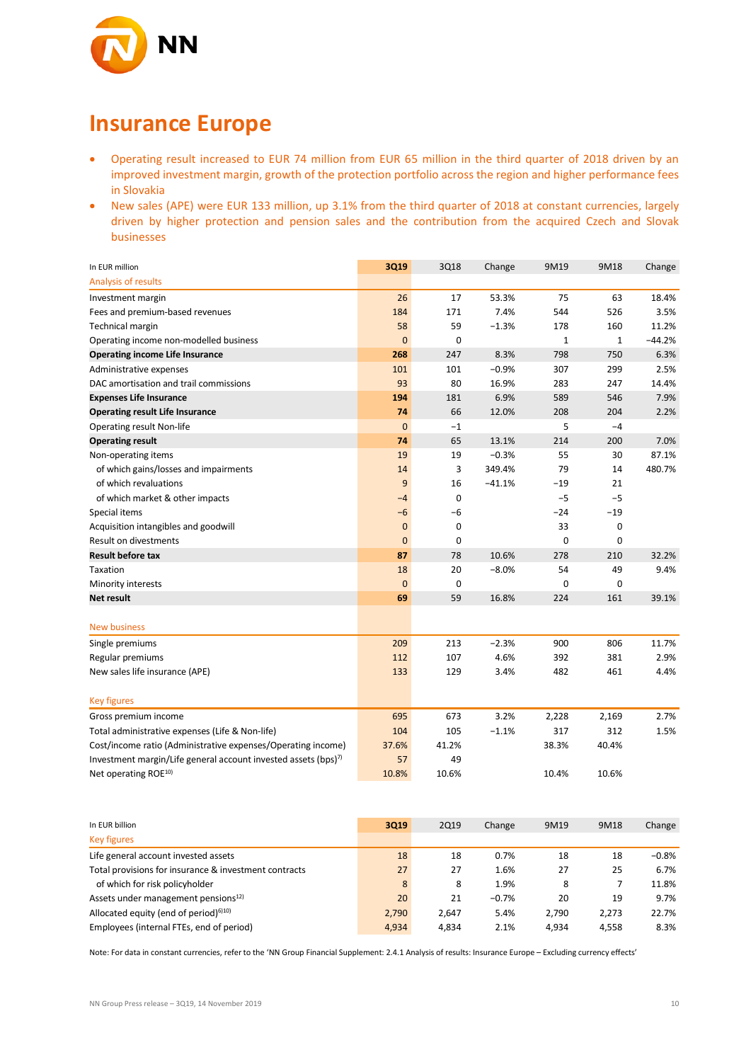

### **Insurance Europe**

- Operating result increased to EUR 74 million from EUR 65 million in the third quarter of 2018 driven by an improved investment margin, growth of the protection portfolio across the region and higher performance fees in Slovakia
- New sales (APE) were EUR 133 million, up 3.1% from the third quarter of 2018 at constant currencies, largely driven by higher protection and pension sales and the contribution from the acquired Czech and Slovak businesses

| In EUR million                                                 | 3Q19           | 3Q18        | Change   | 9M19  | 9M18        | Change   |
|----------------------------------------------------------------|----------------|-------------|----------|-------|-------------|----------|
| Analysis of results                                            |                |             |          |       |             |          |
| Investment margin                                              | 26             | 17          | 53.3%    | 75    | 63          | 18.4%    |
| Fees and premium-based revenues                                | 184            | 171         | 7.4%     | 544   | 526         | 3.5%     |
| <b>Technical margin</b>                                        | 58             | 59          | $-1.3%$  | 178   | 160         | 11.2%    |
| Operating income non-modelled business                         | $\mathbf{0}$   | 0           |          | 1     | $\mathbf 1$ | $-44.2%$ |
| <b>Operating income Life Insurance</b>                         | 268            | 247         | 8.3%     | 798   | 750         | 6.3%     |
| Administrative expenses                                        | 101            | 101         | $-0.9%$  | 307   | 299         | 2.5%     |
| DAC amortisation and trail commissions                         | 93             | 80          | 16.9%    | 283   | 247         | 14.4%    |
| <b>Expenses Life Insurance</b>                                 | 194            | 181         | 6.9%     | 589   | 546         | 7.9%     |
| <b>Operating result Life Insurance</b>                         | 74             | 66          | 12.0%    | 208   | 204         | 2.2%     |
| <b>Operating result Non-life</b>                               | $\mathbf{0}$   | $-1$        |          | 5     | $-4$        |          |
| <b>Operating result</b>                                        | 74             | 65          | 13.1%    | 214   | 200         | 7.0%     |
| Non-operating items                                            | 19             | 19          | $-0.3%$  | 55    | 30          | 87.1%    |
| of which gains/losses and impairments                          | 14             | 3           | 349.4%   | 79    | 14          | 480.7%   |
| of which revaluations                                          | $\overline{9}$ | 16          | $-41.1%$ | $-19$ | 21          |          |
| of which market & other impacts                                | $-4$           | $\mathbf 0$ |          | $-5$  | $-5$        |          |
| Special items                                                  | $-6$           | $-6$        |          | -24   | $-19$       |          |
| Acquisition intangibles and goodwill                           | $\mathbf{0}$   | 0           |          | 33    | 0           |          |
| Result on divestments                                          | $\mathbf{0}$   | 0           |          | 0     | 0           |          |
| <b>Result before tax</b>                                       | 87             | 78          | 10.6%    | 278   | 210         | 32.2%    |
| Taxation                                                       | 18             | 20          | $-8.0%$  | 54    | 49          | 9.4%     |
| Minority interests                                             | $\mathbf{0}$   | 0           |          | 0     | 0           |          |
| Net result                                                     | 69             | 59          | 16.8%    | 224   | 161         | 39.1%    |
|                                                                |                |             |          |       |             |          |
| <b>New business</b>                                            |                |             |          |       |             |          |
| Single premiums                                                | 209            | 213         | $-2.3%$  | 900   | 806         | 11.7%    |
| Regular premiums                                               | 112            | 107         | 4.6%     | 392   | 381         | 2.9%     |
| New sales life insurance (APE)                                 | 133            | 129         | 3.4%     | 482   | 461         | 4.4%     |
| <b>Key figures</b>                                             |                |             |          |       |             |          |
| Gross premium income                                           | 695            | 673         | 3.2%     | 2,228 | 2,169       | 2.7%     |
| Total administrative expenses (Life & Non-life)                | 104            | 105         | $-1.1%$  | 317   | 312         | 1.5%     |
| Cost/income ratio (Administrative expenses/Operating income)   | 37.6%          | 41.2%       |          | 38.3% | 40.4%       |          |
| Investment margin/Life general account invested assets (bps)7) | 57             | 49          |          |       |             |          |
| Net operating ROE <sup>10)</sup>                               | 10.8%          | 10.6%       |          | 10.4% | 10.6%       |          |
|                                                                |                |             |          |       |             |          |

| In EUR billion                                        | 3019  | <b>2Q19</b> | Change  | 9M19  | 9M18  | Change  |
|-------------------------------------------------------|-------|-------------|---------|-------|-------|---------|
| <b>Key figures</b>                                    |       |             |         |       |       |         |
| Life general account invested assets                  | 18    | 18          | 0.7%    | 18    | 18    | $-0.8%$ |
| Total provisions for insurance & investment contracts | 27    | 27          | 1.6%    | 27    | 25    | 6.7%    |
| of which for risk policyholder                        | 8     | 8           | 1.9%    | 8     |       | 11.8%   |
| Assets under management pensions <sup>12)</sup>       | 20    | 21          | $-0.7%$ | 20    | 19    | 9.7%    |
| Allocated equity (end of period) $610$                | 2.790 | 2.647       | 5.4%    | 2.790 | 2.273 | 22.7%   |
| Employees (internal FTEs, end of period)              | 4.934 | 4.834       | 2.1%    | 4.934 | 4.558 | 8.3%    |

Note: For data in constant currencies, refer to the 'NN Group Financial Supplement: 2.4.1 Analysis of results: Insurance Europe – Excluding currency effects'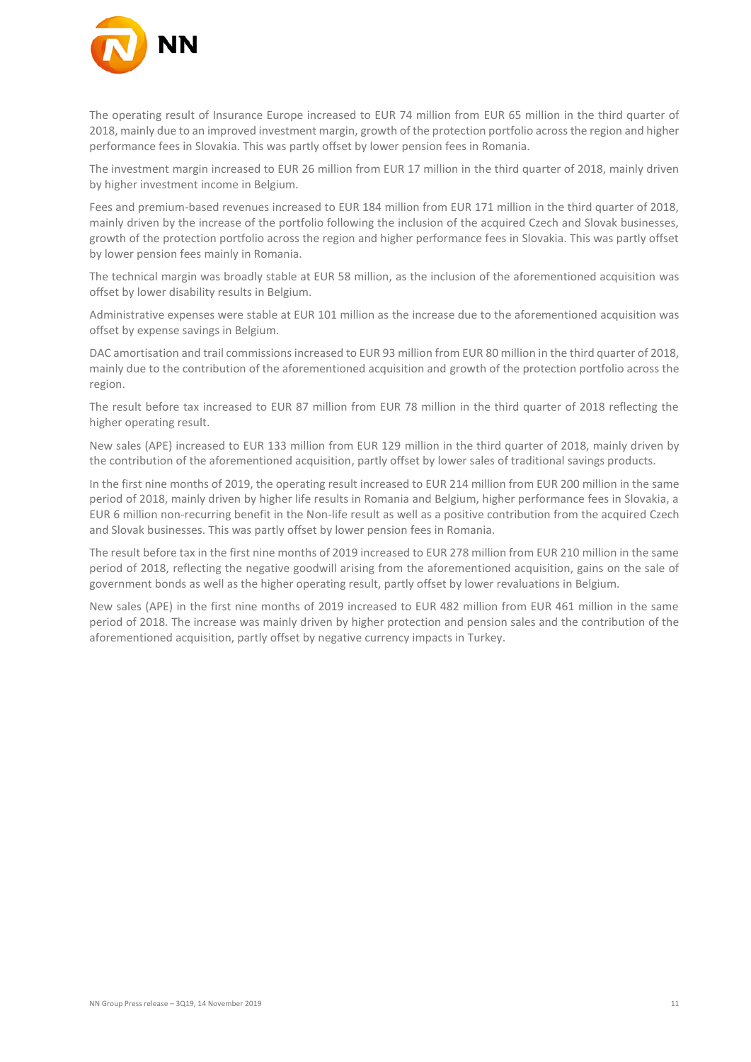

The operating result of Insurance Europe increased to EUR 74 million from EUR 65 million in the third quarter of 2018, mainly due to an improved investment margin, growth of the protection portfolio across the region and higher performance fees in Slovakia. This was partly offset by lower pension fees in Romania.

The investment margin increased to EUR 26 million from EUR 17 million in the third quarter of 2018, mainly driven by higher investment income in Belgium.

Fees and premium-based revenues increased to EUR 184 million from EUR 171 million in the third quarter of 2018, mainly driven by the increase of the portfolio following the inclusion of the acquired Czech and Slovak businesses, growth of the protection portfolio across the region and higher performance fees in Slovakia. This was partly offset by lower pension fees mainly in Romania.

The technical margin was broadly stable at EUR 58 million, as the inclusion of the aforementioned acquisition was offset by lower disability results in Belgium.

Administrative expenses were stable at EUR 101 million as the increase due to the aforementioned acquisition was offset by expense savings in Belgium.

DAC amortisation and trail commissions increased to EUR 93 million from EUR 80 million in the third quarter of 2018, mainly due to the contribution of the aforementioned acquisition and growth of the protection portfolio across the region.

The result before tax increased to EUR 87 million from EUR 78 million in the third quarter of 2018 reflecting the higher operating result.

New sales (APE) increased to EUR 133 million from EUR 129 million in the third quarter of 2018, mainly driven by the contribution of the aforementioned acquisition, partly offset by lower sales of traditional savings products.

In the first nine months of 2019, the operating result increased to EUR 214 million from EUR 200 million in the same period of 2018, mainly driven by higher life results in Romania and Belgium, higher performance fees in Slovakia, a EUR 6 million non-recurring benefit in the Non-life result as well as a positive contribution from the acquired Czech and Slovak businesses. This was partly offset by lower pension fees in Romania.

The result before tax in the first nine months of 2019 increased to EUR 278 million from EUR 210 million in the same period of 2018, reflecting the negative goodwill arising from the aforementioned acquisition, gains on the sale of government bonds as well as the higher operating result, partly offset by lower revaluations in Belgium.

New sales (APE) in the first nine months of 2019 increased to EUR 482 million from EUR 461 million in the same period of 2018. The increase was mainly driven by higher protection and pension sales and the contribution of the aforementioned acquisition, partly offset by negative currency impacts in Turkey.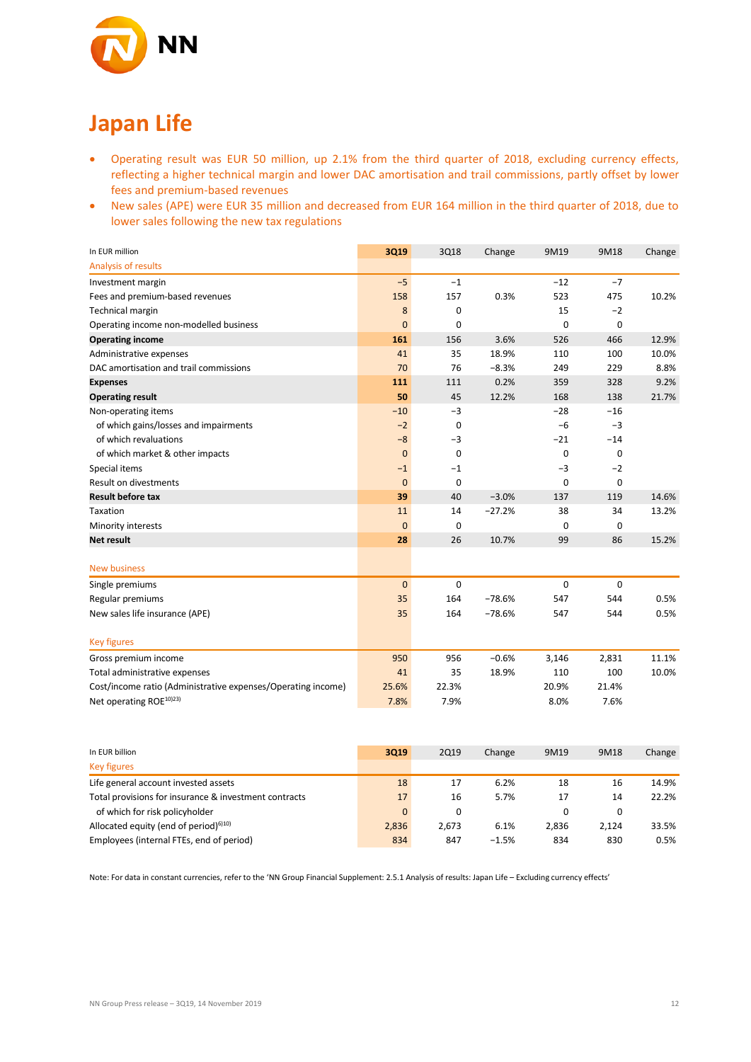

# **Japan Life**

- Operating result was EUR 50 million, up 2.1% from the third quarter of 2018, excluding currency effects, reflecting a higher technical margin and lower DAC amortisation and trail commissions, partly offset by lower fees and premium-based revenues
- New sales (APE) were EUR 35 million and decreased from EUR 164 million in the third quarter of 2018, due to lower sales following the new tax regulations

| In EUR million                                               | 3Q19           | 3Q18        | Change   | 9M19        | 9M18        | Change |
|--------------------------------------------------------------|----------------|-------------|----------|-------------|-------------|--------|
| Analysis of results                                          |                |             |          |             |             |        |
| Investment margin                                            | $-5$           | $-1$        |          | $-12$       | $-7$        |        |
| Fees and premium-based revenues                              | 158            | 157         | 0.3%     | 523         | 475         | 10.2%  |
| Technical margin                                             | 8              | $\mathbf 0$ |          | 15          | $-2$        |        |
| Operating income non-modelled business                       | $\mathbf{0}$   | $\Omega$    |          | $\Omega$    | 0           |        |
| <b>Operating income</b>                                      | 161            | 156         | 3.6%     | 526         | 466         | 12.9%  |
| Administrative expenses                                      | 41             | 35          | 18.9%    | 110         | 100         | 10.0%  |
| DAC amortisation and trail commissions                       | 70             | 76          | $-8.3%$  | 249         | 229         | 8.8%   |
| <b>Expenses</b>                                              | 111            | 111         | 0.2%     | 359         | 328         | 9.2%   |
| <b>Operating result</b>                                      | 50             | 45          | 12.2%    | 168         | 138         | 21.7%  |
| Non-operating items                                          | $-10$          | $-3$        |          | $-28$       | $-16$       |        |
| of which gains/losses and impairments                        | $-2$           | 0           |          | $-6$        | $-3$        |        |
| of which revaluations                                        | $-8$           | $-3$        |          | $-21$       | $-14$       |        |
| of which market & other impacts                              | $\mathbf 0$    | 0           |          | $\mathbf 0$ | 0           |        |
| Special items                                                | $-1$           | $-1$        |          | $-3$        | $-2$        |        |
| <b>Result on divestments</b>                                 | $\overline{0}$ | 0           |          | $\mathbf 0$ | $\mathbf 0$ |        |
| <b>Result before tax</b>                                     | 39             | 40          | $-3.0%$  | 137         | 119         | 14.6%  |
| Taxation                                                     | 11             | 14          | $-27.2%$ | 38          | 34          | 13.2%  |
| Minority interests                                           | $\mathbf 0$    | $\mathbf 0$ |          | $\mathbf 0$ | 0           |        |
| <b>Net result</b>                                            | 28             | 26          | 10.7%    | 99          | 86          | 15.2%  |
|                                                              |                |             |          |             |             |        |
| <b>New business</b>                                          |                |             |          |             |             |        |
| Single premiums                                              | $\mathbf 0$    | 0           |          | $\pmb{0}$   | 0           |        |
| Regular premiums                                             | 35             | 164         | $-78.6%$ | 547         | 544         | 0.5%   |
| New sales life insurance (APE)                               | 35             | 164         | $-78.6%$ | 547         | 544         | 0.5%   |
|                                                              |                |             |          |             |             |        |
| <b>Key figures</b>                                           |                |             |          |             |             |        |
| Gross premium income                                         | 950            | 956         | $-0.6%$  | 3,146       | 2,831       | 11.1%  |
| Total administrative expenses                                | 41             | 35          | 18.9%    | 110         | 100         | 10.0%  |
| Cost/income ratio (Administrative expenses/Operating income) | 25.6%          | 22.3%       |          | 20.9%       | 21.4%       |        |
| Net operating ROE <sup>10)23)</sup>                          | 7.8%           | 7.9%        |          | 8.0%        | 7.6%        |        |

| In EUR billion                                                 | 3019     | 2Q19     | Change  | 9M19  | 9M18  | Change |
|----------------------------------------------------------------|----------|----------|---------|-------|-------|--------|
| <b>Key figures</b>                                             |          |          |         |       |       |        |
| Life general account invested assets                           | 18       | 17       | 6.2%    | 18    | 16    | 14.9%  |
| Total provisions for insurance & investment contracts          | 17       | 16       | 5.7%    | 17    | 14    | 22.2%  |
| of which for risk policyholder                                 | $\Omega$ | $\Omega$ |         |       |       |        |
| Allocated equity (end of period) <sup><math>6)10)</math></sup> | 2,836    | 2.673    | 6.1%    | 2,836 | 2.124 | 33.5%  |
| Employees (internal FTEs, end of period)                       | 834      | 847      | $-1.5%$ | 834   | 830   | 0.5%   |

Note: For data in constant currencies, refer to the 'NN Group Financial Supplement: 2.5.1 Analysis of results: Japan Life – Excluding currency effects'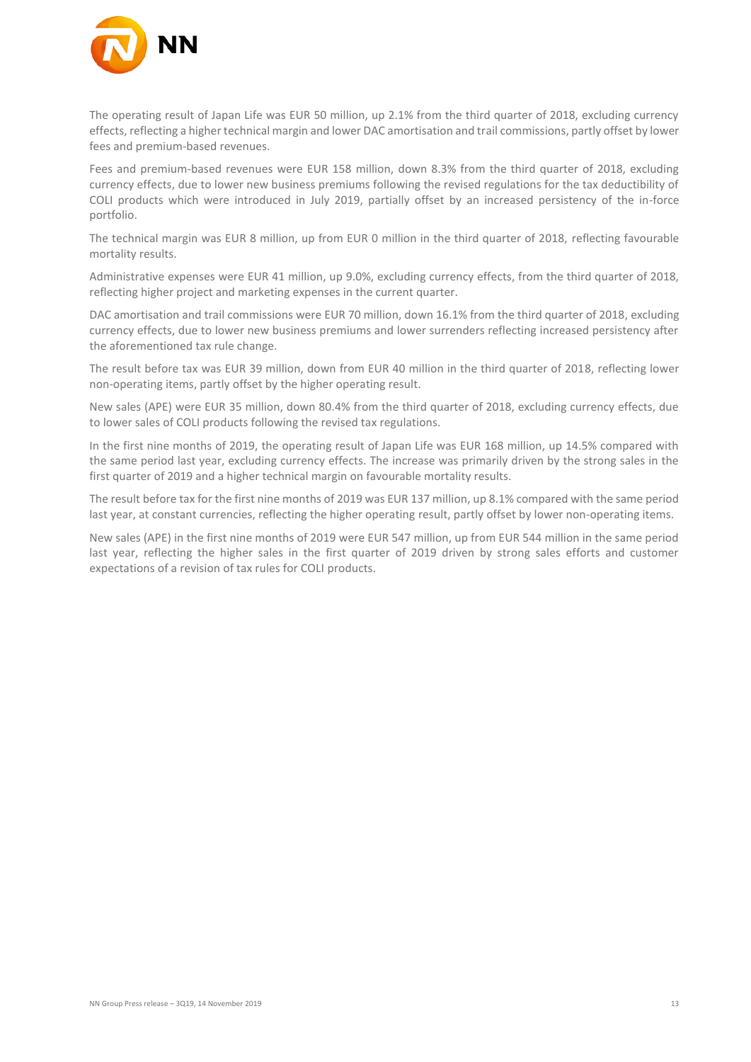

The operating result of Japan Life was EUR 50 million, up 2.1% from the third quarter of 2018, excluding currency effects, reflecting a higher technical margin and lower DAC amortisation and trail commissions, partly offset by lower fees and premium-based revenues.

Fees and premium-based revenues were EUR 158 million, down 8.3% from the third quarter of 2018, excluding currency effects, due to lower new business premiums following the revised regulations for the tax deductibility of COLI products which were introduced in July 2019, partially offset by an increased persistency of the in-force portfolio.

The technical margin was EUR 8 million, up from EUR 0 million in the third quarter of 2018, reflecting favourable mortality results.

Administrative expenses were EUR 41 million, up 9.0%, excluding currency effects, from the third quarter of 2018, reflecting higher project and marketing expenses in the current quarter.

DAC amortisation and trail commissions were EUR 70 million, down 16.1% from the third quarter of 2018, excluding currency effects, due to lower new business premiums and lower surrenders reflecting increased persistency after the aforementioned tax rule change.

The result before tax was EUR 39 million, down from EUR 40 million in the third quarter of 2018, reflecting lower non-operating items, partly offset by the higher operating result.

New sales (APE) were EUR 35 million, down 80.4% from the third quarter of 2018, excluding currency effects, due to lower sales of COLI products following the revised tax regulations.

In the first nine months of 2019, the operating result of Japan Life was EUR 168 million, up 14.5% compared with the same period last year, excluding currency effects. The increase was primarily driven by the strong sales in the first quarter of 2019 and a higher technical margin on favourable mortality results.

The result before tax for the first nine months of 2019 was EUR 137 million, up 8.1% compared with the same period last year, at constant currencies, reflecting the higher operating result, partly offset by lower non-operating items.

New sales (APE) in the first nine months of 2019 were EUR 547 million, up from EUR 544 million in the same period last year, reflecting the higher sales in the first quarter of 2019 driven by strong sales efforts and customer expectations of a revision of tax rules for COLI products.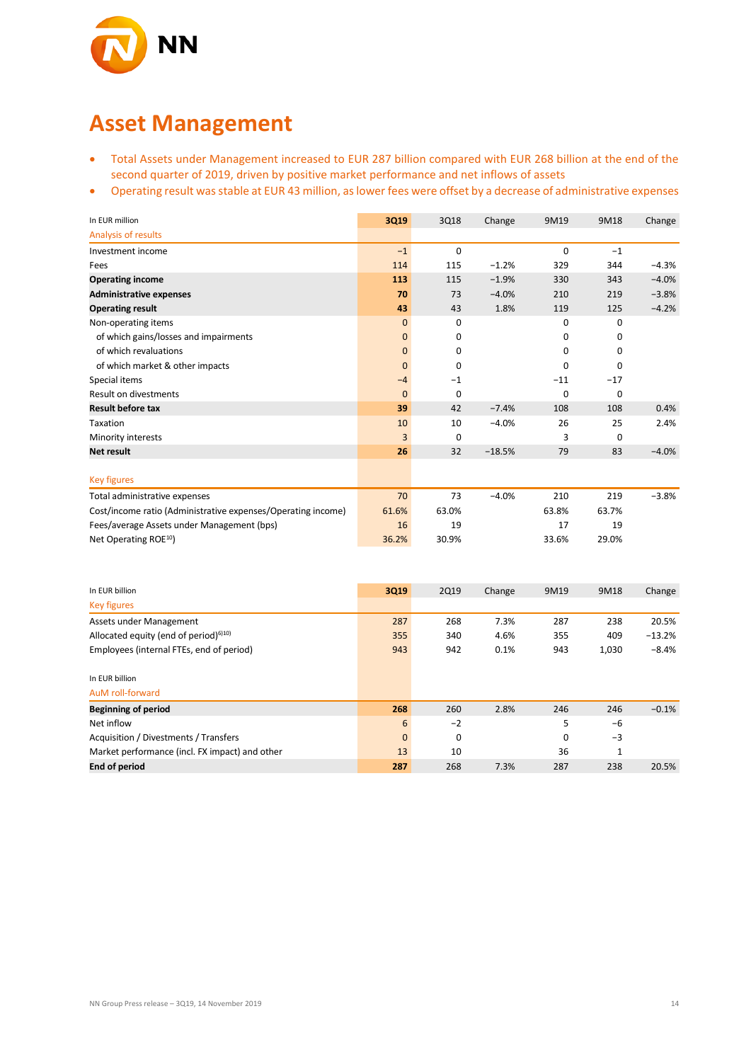

### **Asset Management**

- Total Assets under Management increased to EUR 287 billion compared with EUR 268 billion at the end of the second quarter of 2019, driven by positive market performance and net inflows of assets
- Operating result was stable at EUR 43 million, as lower fees were offset by a decrease of administrative expenses

| In EUR million                                               | 3Q19         | 3Q18        | Change   | 9M19        | 9M18     | Change  |
|--------------------------------------------------------------|--------------|-------------|----------|-------------|----------|---------|
| Analysis of results                                          |              |             |          |             |          |         |
| Investment income                                            | $-1$         | $\mathbf 0$ |          | 0           | $-1$     |         |
| Fees                                                         | 114          | 115         | $-1.2%$  | 329         | 344      | $-4.3%$ |
| <b>Operating income</b>                                      | 113          | 115         | $-1.9%$  | 330         | 343      | $-4.0%$ |
| <b>Administrative expenses</b>                               | 70           | 73          | $-4.0%$  | 210         | 219      | $-3.8%$ |
| <b>Operating result</b>                                      | 43           | 43          | 1.8%     | 119         | 125      | $-4.2%$ |
| Non-operating items                                          | $\mathbf{0}$ | $\mathbf 0$ |          | 0           | 0        |         |
| of which gains/losses and impairments                        | $\mathbf 0$  | 0           |          | 0           | 0        |         |
| of which revaluations                                        | $\mathbf{0}$ | 0           |          | 0           | 0        |         |
| of which market & other impacts                              | $\mathbf{0}$ | $\mathbf 0$ |          | 0           | 0        |         |
| Special items                                                | $-4$         | $-1$        |          | $-11$       | $-17$    |         |
| Result on divestments                                        | $\Omega$     | $\Omega$    |          | $\mathbf 0$ | $\Omega$ |         |
| <b>Result before tax</b>                                     | 39           | 42          | $-7.4%$  | 108         | 108      | 0.4%    |
| Taxation                                                     | 10           | 10          | $-4.0%$  | 26          | 25       | 2.4%    |
| Minority interests                                           | 3            | $\Omega$    |          | 3           | 0        |         |
| <b>Net result</b>                                            | 26           | 32          | $-18.5%$ | 79          | 83       | $-4.0%$ |
|                                                              |              |             |          |             |          |         |
| Key figures                                                  |              |             |          |             |          |         |
| Total administrative expenses                                | 70           | 73          | $-4.0%$  | 210         | 219      | $-3.8%$ |
| Cost/income ratio (Administrative expenses/Operating income) | 61.6%        | 63.0%       |          | 63.8%       | 63.7%    |         |
| Fees/average Assets under Management (bps)                   | 16           | 19          |          | 17          | 19       |         |
| Net Operating ROE <sup>10</sup> )                            | 36.2%        | 30.9%       |          | 33.6%       | 29.0%    |         |

| In EUR billion                                 | 3Q19         | <b>2Q19</b> | Change | 9M19        | 9M18  | Change   |
|------------------------------------------------|--------------|-------------|--------|-------------|-------|----------|
| <b>Key figures</b>                             |              |             |        |             |       |          |
| Assets under Management                        | 287          | 268         | 7.3%   | 287         | 238   | 20.5%    |
| Allocated equity (end of period) $610$         | 355          | 340         | 4.6%   | 355         | 409   | $-13.2%$ |
| Employees (internal FTEs, end of period)       | 943          | 942         | 0.1%   | 943         | 1,030 | $-8.4%$  |
| In EUR billion                                 |              |             |        |             |       |          |
| AuM roll-forward                               |              |             |        |             |       |          |
| <b>Beginning of period</b>                     | 268          | 260         | 2.8%   | 246         | 246   | $-0.1%$  |
| Net inflow                                     | 6            | $-2$        |        | 5           | -6    |          |
| Acquisition / Divestments / Transfers          | $\mathbf{0}$ | 0           |        | $\mathbf 0$ | $-3$  |          |
| Market performance (incl. FX impact) and other | 13           | 10          |        | 36          | 1     |          |
| <b>End of period</b>                           | 287          | 268         | 7.3%   | 287         | 238   | 20.5%    |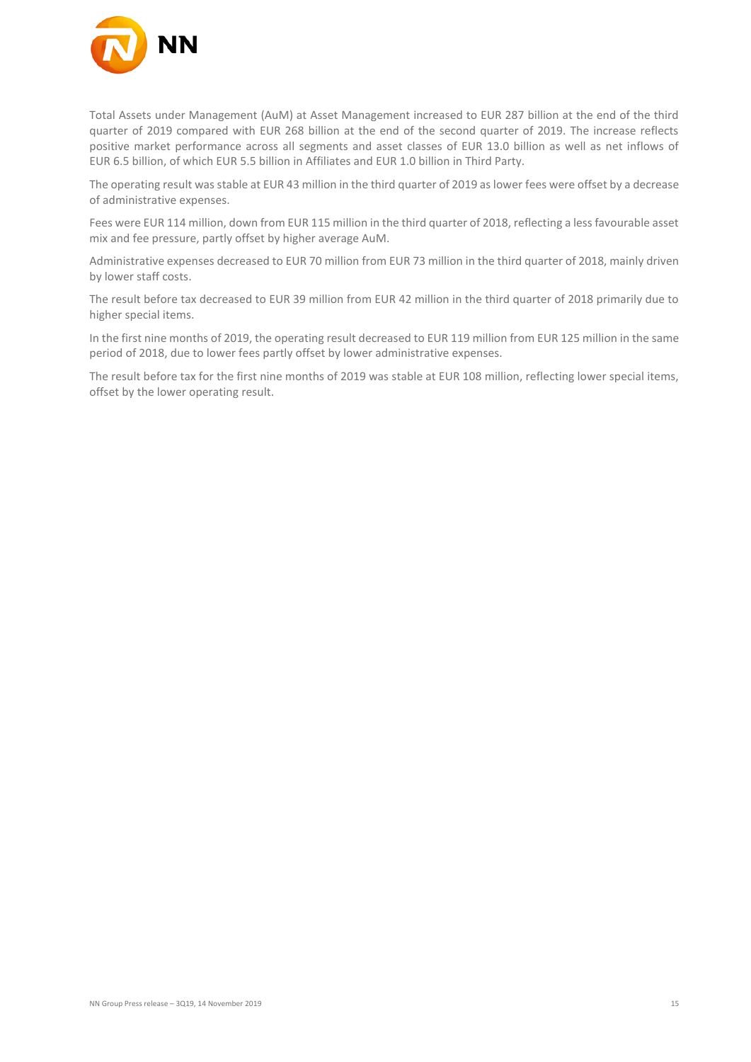

Total Assets under Management (AuM) at Asset Management increased to EUR 287 billion at the end of the third quarter of 2019 compared with EUR 268 billion at the end of the second quarter of 2019. The increase reflects positive market performance across all segments and asset classes of EUR 13.0 billion as well as net inflows of EUR 6.5 billion, of which EUR 5.5 billion in Affiliates and EUR 1.0 billion in Third Party.

The operating result was stable at EUR 43 million in the third quarter of 2019 as lower fees were offset by a decrease of administrative expenses.

Fees were EUR 114 million, down from EUR 115 million in the third quarter of 2018, reflecting a less favourable asset mix and fee pressure, partly offset by higher average AuM.

Administrative expenses decreased to EUR 70 million from EUR 73 million in the third quarter of 2018, mainly driven by lower staff costs.

The result before tax decreased to EUR 39 million from EUR 42 million in the third quarter of 2018 primarily due to higher special items.

In the first nine months of 2019, the operating result decreased to EUR 119 million from EUR 125 million in the same period of 2018, due to lower fees partly offset by lower administrative expenses.

The result before tax for the first nine months of 2019 was stable at EUR 108 million, reflecting lower special items, offset by the lower operating result.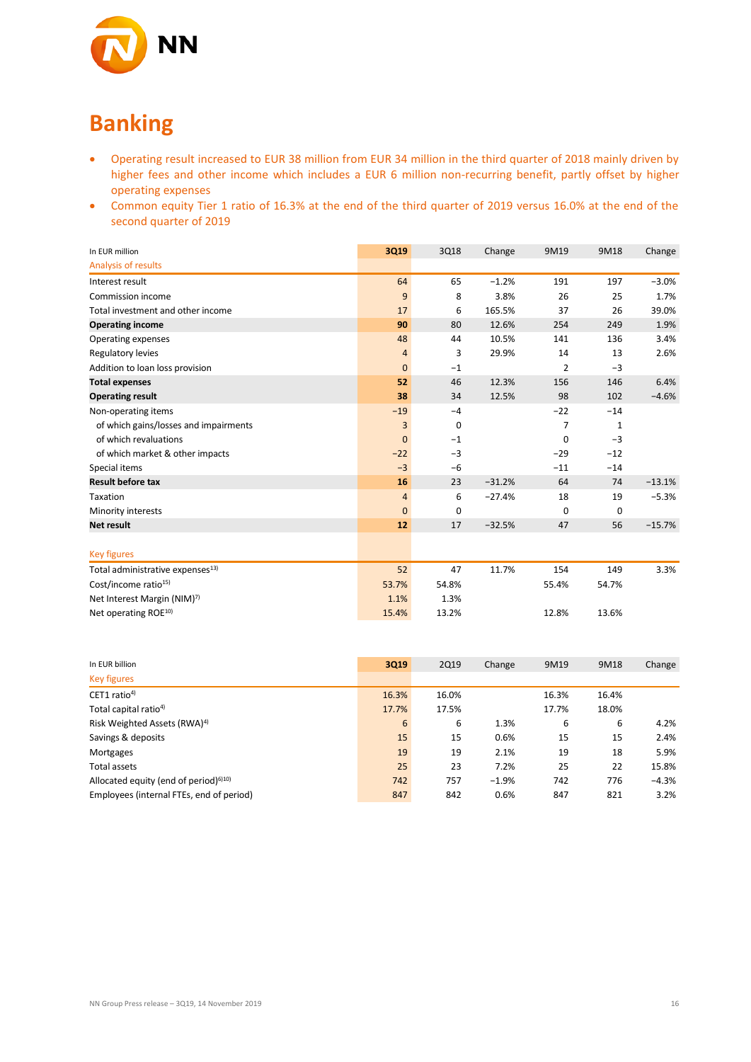

# **Banking**

- Operating result increased to EUR 38 million from EUR 34 million in the third quarter of 2018 mainly driven by higher fees and other income which includes a EUR 6 million non-recurring benefit, partly offset by higher operating expenses
- Common equity Tier 1 ratio of 16.3% at the end of the third quarter of 2019 versus 16.0% at the end of the second quarter of 2019

| In EUR million                               | 3Q19           | 3Q18        | Change   | 9M19           | 9M18  | Change   |
|----------------------------------------------|----------------|-------------|----------|----------------|-------|----------|
| Analysis of results                          |                |             |          |                |       |          |
| Interest result                              | 64             | 65          | $-1.2%$  | 191            | 197   | $-3.0%$  |
| Commission income                            | 9              | 8           | 3.8%     | 26             | 25    | 1.7%     |
| Total investment and other income            | 17             | 6           | 165.5%   | 37             | 26    | 39.0%    |
| <b>Operating income</b>                      | 90             | 80          | 12.6%    | 254            | 249   | 1.9%     |
| Operating expenses                           | 48             | 44          | 10.5%    | 141            | 136   | 3.4%     |
| Regulatory levies                            | $\overline{4}$ | 3           | 29.9%    | 14             | 13    | 2.6%     |
| Addition to loan loss provision              | $\mathbf{0}$   | $-1$        |          | $\overline{2}$ | $-3$  |          |
| <b>Total expenses</b>                        | 52             | 46          | 12.3%    | 156            | 146   | 6.4%     |
| <b>Operating result</b>                      | 38             | 34          | 12.5%    | 98             | 102   | $-4.6%$  |
| Non-operating items                          | $-19$          | $-4$        |          | $-22$          | $-14$ |          |
| of which gains/losses and impairments        | 3              | $\mathbf 0$ |          | 7              | 1     |          |
| of which revaluations                        | $\mathbf{0}$   | $-1$        |          | 0              | $-3$  |          |
| of which market & other impacts              | $-22$          | $-3$        |          | $-29$          | $-12$ |          |
| Special items                                | $-3$           | $-6$        |          | $-11$          | $-14$ |          |
| <b>Result before tax</b>                     | 16             | 23          | $-31.2%$ | 64             | 74    | $-13.1%$ |
| Taxation                                     | $\overline{4}$ | 6           | $-27.4%$ | 18             | 19    | $-5.3%$  |
| Minority interests                           | $\mathbf{0}$   | 0           |          | $\mathbf 0$    | 0     |          |
| <b>Net result</b>                            | 12             | 17          | $-32.5%$ | 47             | 56    | $-15.7%$ |
| <b>Key figures</b>                           |                |             |          |                |       |          |
| Total administrative expenses <sup>13)</sup> | 52             | 47          | 11.7%    | 154            | 149   | 3.3%     |
| Cost/income ratio <sup>15)</sup>             | 53.7%          | 54.8%       |          | 55.4%          | 54.7% |          |
| Net Interest Margin (NIM) <sup>7)</sup>      | 1.1%           | 1.3%        |          |                |       |          |
| Net operating ROE <sup>10)</sup>             | 15.4%          | 13.2%       |          | 12.8%          | 13.6% |          |

| In EUR billion                                    | 3Q19  | <b>2Q19</b> | Change  | 9M19  | 9M18  | Change  |
|---------------------------------------------------|-------|-------------|---------|-------|-------|---------|
| <b>Key figures</b>                                |       |             |         |       |       |         |
| CET1 ratio <sup>4)</sup>                          | 16.3% | 16.0%       |         | 16.3% | 16.4% |         |
| Total capital ratio <sup>4)</sup>                 | 17.7% | 17.5%       |         | 17.7% | 18.0% |         |
| Risk Weighted Assets (RWA) <sup>4)</sup>          | 6     | 6           | 1.3%    | 6     | 6     | 4.2%    |
| Savings & deposits                                | 15    | 15          | 0.6%    | 15    | 15    | 2.4%    |
| Mortgages                                         | 19    | 19          | 2.1%    | 19    | 18    | 5.9%    |
| Total assets                                      | 25    | 23          | 7.2%    | 25    | 22    | 15.8%   |
| Allocated equity (end of period) <sup>6)10)</sup> | 742   | 757         | $-1.9%$ | 742   | 776   | $-4.3%$ |
| Employees (internal FTEs, end of period)          | 847   | 842         | 0.6%    | 847   | 821   | 3.2%    |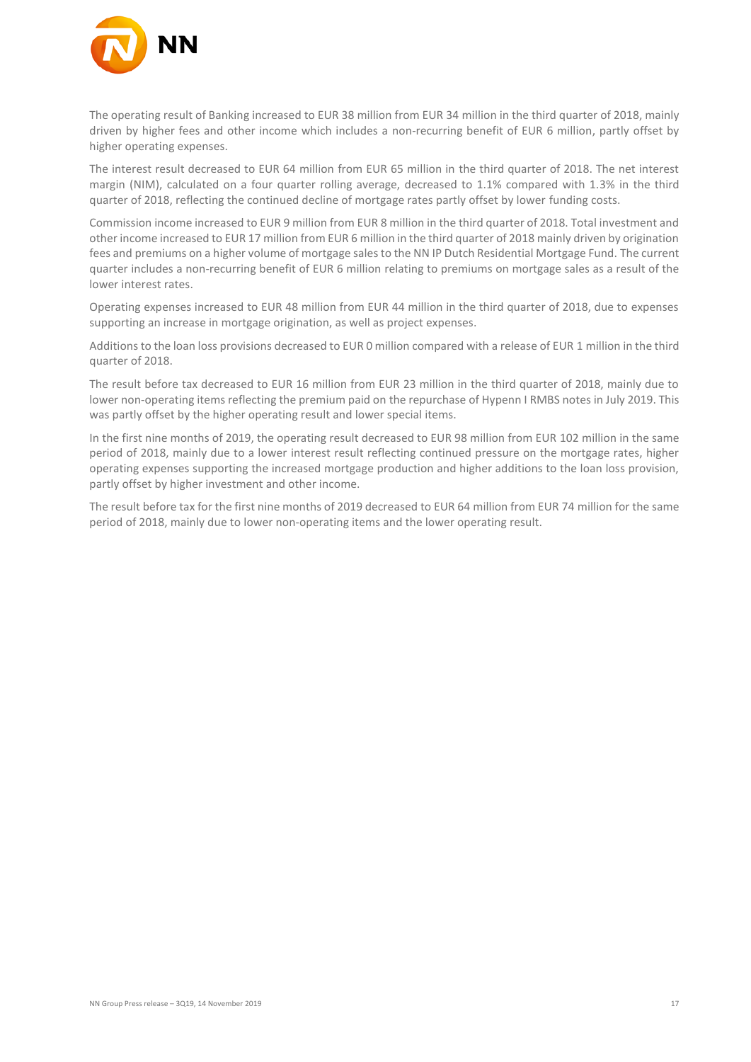

The operating result of Banking increased to EUR 38 million from EUR 34 million in the third quarter of 2018, mainly driven by higher fees and other income which includes a non-recurring benefit of EUR 6 million, partly offset by higher operating expenses.

The interest result decreased to EUR 64 million from EUR 65 million in the third quarter of 2018. The net interest margin (NIM), calculated on a four quarter rolling average, decreased to 1.1% compared with 1.3% in the third quarter of 2018, reflecting the continued decline of mortgage rates partly offset by lower funding costs.

Commission income increased to EUR 9 million from EUR 8 million in the third quarter of 2018. Total investment and other income increased to EUR 17 million from EUR 6 million in the third quarter of 2018 mainly driven by origination fees and premiums on a higher volume of mortgage sales to the NN IP Dutch Residential Mortgage Fund. The current quarter includes a non-recurring benefit of EUR 6 million relating to premiums on mortgage sales as a result of the lower interest rates.

Operating expenses increased to EUR 48 million from EUR 44 million in the third quarter of 2018, due to expenses supporting an increase in mortgage origination, as well as project expenses.

Additions to the loan loss provisions decreased to EUR 0 million compared with a release of EUR 1 million in the third quarter of 2018.

The result before tax decreased to EUR 16 million from EUR 23 million in the third quarter of 2018, mainly due to lower non-operating items reflecting the premium paid on the repurchase of Hypenn I RMBS notes in July 2019. This was partly offset by the higher operating result and lower special items.

In the first nine months of 2019, the operating result decreased to EUR 98 million from EUR 102 million in the same period of 2018, mainly due to a lower interest result reflecting continued pressure on the mortgage rates, higher operating expenses supporting the increased mortgage production and higher additions to the loan loss provision, partly offset by higher investment and other income.

The result before tax for the first nine months of 2019 decreased to EUR 64 million from EUR 74 million for the same period of 2018, mainly due to lower non‐operating items and the lower operating result.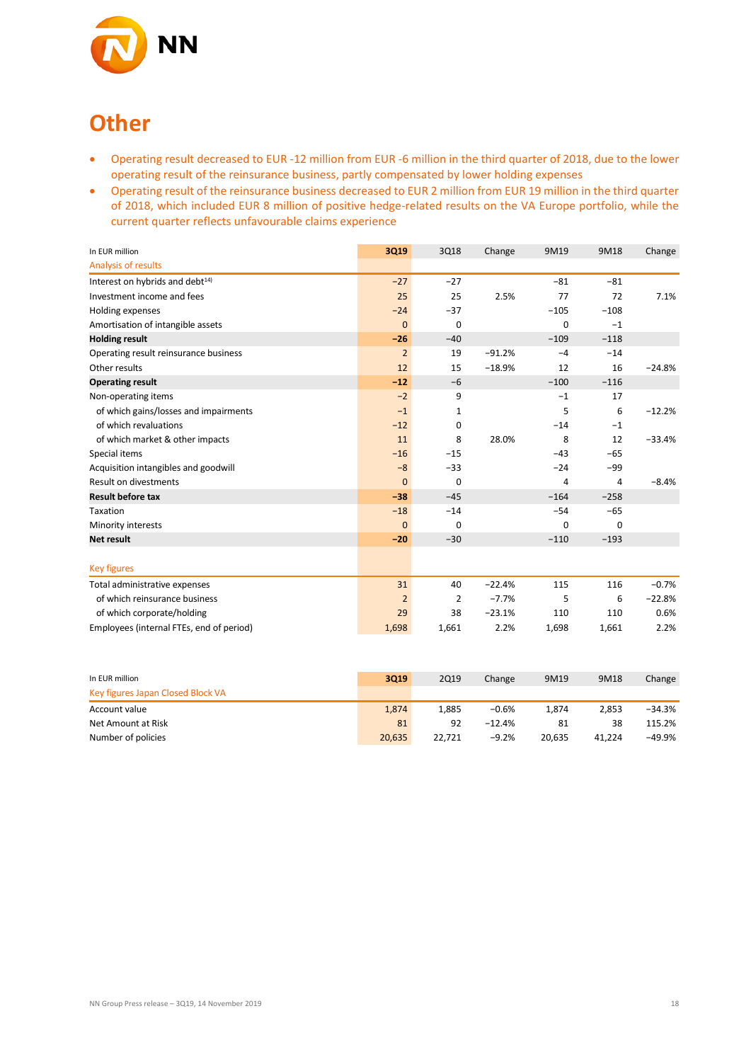

## **Other**

- Operating result decreased to EUR -12 million from EUR -6 million in the third quarter of 2018, due to the lower operating result of the reinsurance business, partly compensated by lower holding expenses
- Operating result of the reinsurance business decreased to EUR 2 million from EUR 19 million in the third quarter of 2018, which included EUR 8 million of positive hedge-related results on the VA Europe portfolio, while the current quarter reflects unfavourable claims experience

| In EUR million                              | 3Q19           | 3Q18           | Change   | 9M19   | 9M18   | Change   |
|---------------------------------------------|----------------|----------------|----------|--------|--------|----------|
| Analysis of results                         |                |                |          |        |        |          |
| Interest on hybrids and debt <sup>14)</sup> | $-27$          | $-27$          |          | $-81$  | $-81$  |          |
| Investment income and fees                  | 25             | 25             | 2.5%     | 77     | 72     | 7.1%     |
| Holding expenses                            | $-24$          | $-37$          |          | $-105$ | $-108$ |          |
| Amortisation of intangible assets           | $\mathbf{0}$   | $\mathbf 0$    |          | 0      | $-1$   |          |
| <b>Holding result</b>                       | $-26$          | $-40$          |          | $-109$ | $-118$ |          |
| Operating result reinsurance business       | $\overline{2}$ | 19             | $-91.2%$ | $-4$   | $-14$  |          |
| Other results                               | 12             | 15             | $-18.9%$ | 12     | 16     | $-24.8%$ |
| <b>Operating result</b>                     | $-12$          | $-6$           |          | $-100$ | $-116$ |          |
| Non-operating items                         | $-2$           | 9              |          | $-1$   | 17     |          |
| of which gains/losses and impairments       | $-1$           | 1              |          | 5      | 6      | $-12.2%$ |
| of which revaluations                       | $-12$          | 0              |          | $-14$  | $-1$   |          |
| of which market & other impacts             | 11             | 8              | 28.0%    | 8      | 12     | $-33.4%$ |
| Special items                               | $-16$          | $-15$          |          | $-43$  | $-65$  |          |
| Acquisition intangibles and goodwill        | $-8$           | $-33$          |          | $-24$  | $-99$  |          |
| Result on divestments                       | $\mathbf{0}$   | $\mathbf 0$    |          | 4      | 4      | $-8.4%$  |
| <b>Result before tax</b>                    | $-38$          | $-45$          |          | $-164$ | $-258$ |          |
| Taxation                                    | $-18$          | $-14$          |          | $-54$  | $-65$  |          |
| Minority interests                          | $\mathbf{0}$   | $\mathbf 0$    |          | 0      | 0      |          |
| <b>Net result</b>                           | $-20$          | $-30$          |          | $-110$ | $-193$ |          |
|                                             |                |                |          |        |        |          |
| <b>Key figures</b>                          |                |                |          |        |        |          |
| Total administrative expenses               | 31             | 40             | $-22.4%$ | 115    | 116    | $-0.7%$  |
| of which reinsurance business               | $\overline{2}$ | $\overline{2}$ | $-7.7%$  | 5      | 6      | $-22.8%$ |
| of which corporate/holding                  | 29             | 38             | $-23.1%$ | 110    | 110    | 0.6%     |
| Employees (internal FTEs, end of period)    | 1,698          | 1,661          | 2.2%     | 1,698  | 1,661  | 2.2%     |

| In EUR million                    | 3019   | 2Q19   | Change   | 9M19   | 9M18   | Change   |
|-----------------------------------|--------|--------|----------|--------|--------|----------|
| Key figures Japan Closed Block VA |        |        |          |        |        |          |
| Account value                     | 1.874  | 1.885  | $-0.6%$  | 1.874  | 2.853  | $-34.3%$ |
| Net Amount at Risk                | 81     | 92     | $-12.4%$ | 81     | 38     | 115.2%   |
| Number of policies                | 20,635 | 22.721 | $-9.2%$  | 20.635 | 41.224 | -49.9%   |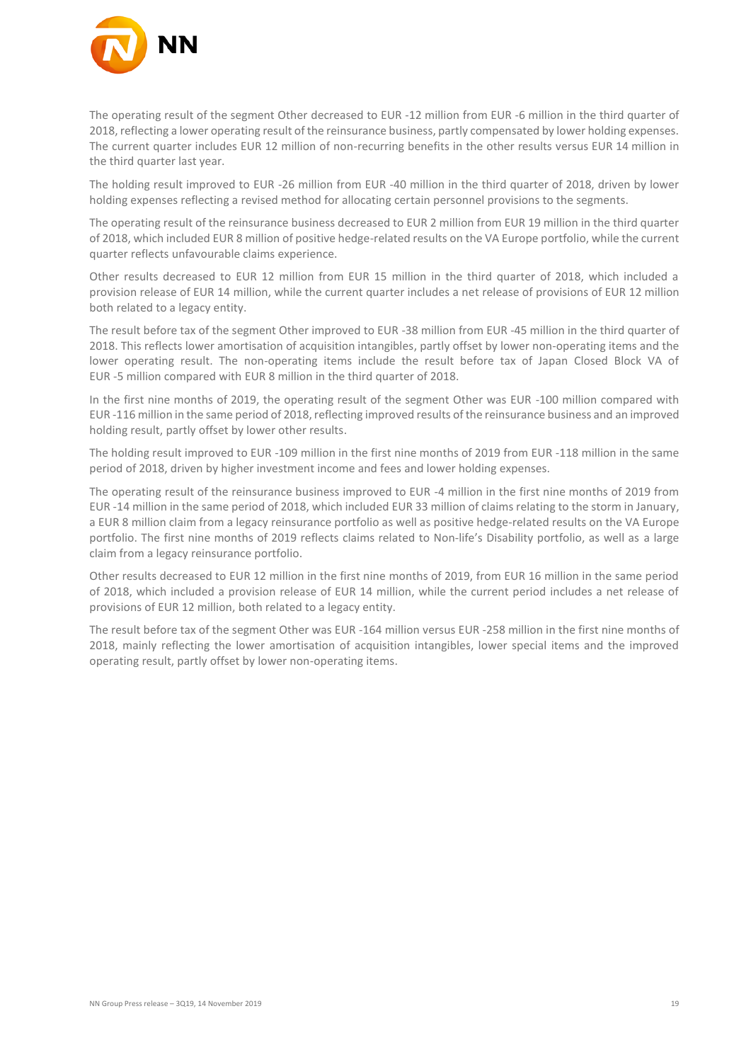

The operating result of the segment Other decreased to EUR -12 million from EUR -6 million in the third quarter of 2018, reflecting a lower operating result of the reinsurance business, partly compensated by lower holding expenses. The current quarter includes EUR 12 million of non-recurring benefits in the other results versus EUR 14 million in the third quarter last year.

The holding result improved to EUR -26 million from EUR -40 million in the third quarter of 2018, driven by lower holding expenses reflecting a revised method for allocating certain personnel provisions to the segments.

The operating result of the reinsurance business decreased to EUR 2 million from EUR 19 million in the third quarter of 2018, which included EUR 8 million of positive hedge-related results on the VA Europe portfolio, while the current quarter reflects unfavourable claims experience.

Other results decreased to EUR 12 million from EUR 15 million in the third quarter of 2018, which included a provision release of EUR 14 million, while the current quarter includes a net release of provisions of EUR 12 million both related to a legacy entity.

The result before tax of the segment Other improved to EUR -38 million from EUR -45 million in the third quarter of 2018. This reflects lower amortisation of acquisition intangibles, partly offset by lower non-operating items and the lower operating result. The non-operating items include the result before tax of Japan Closed Block VA of EUR -5 million compared with EUR 8 million in the third quarter of 2018.

In the first nine months of 2019, the operating result of the segment Other was EUR -100 million compared with EUR -116 million in the same period of 2018, reflecting improved results of the reinsurance business and an improved holding result, partly offset by lower other results.

The holding result improved to EUR -109 million in the first nine months of 2019 from EUR -118 million in the same period of 2018, driven by higher investment income and fees and lower holding expenses.

The operating result of the reinsurance business improved to EUR -4 million in the first nine months of 2019 from EUR -14 million in the same period of 2018, which included EUR 33 million of claims relating to the storm in January, a EUR 8 million claim from a legacy reinsurance portfolio as well as positive hedge-related results on the VA Europe portfolio. The first nine months of 2019 reflects claims related to Non-life's Disability portfolio, as well as a large claim from a legacy reinsurance portfolio.

Other results decreased to EUR 12 million in the first nine months of 2019, from EUR 16 million in the same period of 2018, which included a provision release of EUR 14 million, while the current period includes a net release of provisions of EUR 12 million, both related to a legacy entity.

The result before tax of the segment Other was EUR -164 million versus EUR -258 million in the first nine months of 2018, mainly reflecting the lower amortisation of acquisition intangibles, lower special items and the improved operating result, partly offset by lower non-operating items.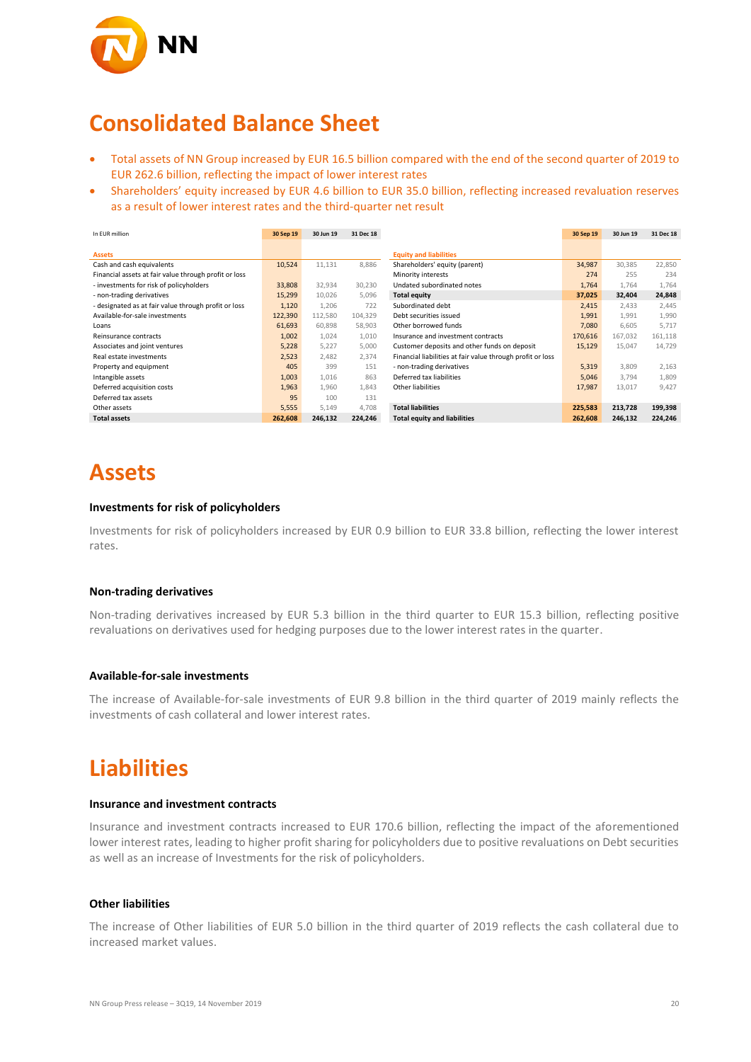

### **Consolidated Balance Sheet**

- Total assets of NN Group increased by EUR 16.5 billion compared with the end of the second quarter of 2019 to EUR 262.6 billion, reflecting the impact of lower interest rates
- Shareholders' equity increased by EUR 4.6 billion to EUR 35.0 billion, reflecting increased revaluation reserves as a result of lower interest rates and the third-quarter net result

| In EUR million                                        | 30 Sep 19 | 30 Jun 19 | 31 Dec 18 |                                                            | 30 Sep 19 | 30 Jun 19 | 31 Dec 18 |
|-------------------------------------------------------|-----------|-----------|-----------|------------------------------------------------------------|-----------|-----------|-----------|
|                                                       |           |           |           |                                                            |           |           |           |
| <b>Assets</b>                                         |           |           |           | <b>Equity and liabilities</b>                              |           |           |           |
| Cash and cash equivalents                             | 10,524    | 11,131    | 8,886     | Shareholders' equity (parent)                              | 34,987    | 30,385    | 22,850    |
| Financial assets at fair value through profit or loss |           |           |           | Minority interests                                         | 274       | 255       | 234       |
| - investments for risk of policyholders               | 33,808    | 32,934    | 30,230    | Undated subordinated notes                                 | 1,764     | 1,764     | 1,764     |
| - non-trading derivatives                             | 15,299    | 10,026    | 5,096     | <b>Total equity</b>                                        | 37,025    | 32,404    | 24,848    |
| - designated as at fair value through profit or loss  | 1,120     | 1,206     | 722       | Subordinated debt                                          | 2,415     | 2,433     | 2,445     |
| Available-for-sale investments                        | 122,390   | 112,580   | 104,329   | Debt securities issued                                     | 1,991     | 1,991     | 1,990     |
| Loans                                                 | 61,693    | 60.898    | 58.903    | Other borrowed funds                                       | 7,080     | 6.605     | 5.717     |
| Reinsurance contracts                                 | 1,002     | 1,024     | 1,010     | Insurance and investment contracts                         | 170,616   | 167,032   | 161,118   |
| Associates and joint ventures                         | 5,228     | 5,227     | 5,000     | Customer deposits and other funds on deposit               | 15,129    | 15,047    | 14,729    |
| Real estate investments                               | 2,523     | 2,482     | 2,374     | Financial liabilities at fair value through profit or loss |           |           |           |
| Property and equipment                                | 405       | 399       | 151       | - non-trading derivatives                                  | 5,319     | 3,809     | 2,163     |
| Intangible assets                                     | 1,003     | 1,016     | 863       | Deferred tax liabilities                                   | 5,046     | 3.794     | 1.809     |
| Deferred acquisition costs                            | 1,963     | 1,960     | 1,843     | Other liabilities                                          | 17,987    | 13,017    | 9.427     |
| Deferred tax assets                                   | 95        | 100       | 131       |                                                            |           |           |           |
| Other assets                                          | 5,555     | 5,149     | 4,708     | <b>Total liabilities</b>                                   | 225,583   | 213,728   | 199,398   |
| <b>Total assets</b>                                   | 262,608   | 246,132   | 224,246   | <b>Total equity and liabilities</b>                        | 262,608   | 246,132   | 224,246   |

### **Assets**

#### **Investments for risk of policyholders**

Investments for risk of policyholders increased by EUR 0.9 billion to EUR 33.8 billion, reflecting the lower interest rates.

#### **Non-trading derivatives**

Non-trading derivatives increased by EUR 5.3 billion in the third quarter to EUR 15.3 billion, reflecting positive revaluations on derivatives used for hedging purposes due to the lower interest rates in the quarter.

#### **Available-for-sale investments**

The increase of Available-for-sale investments of EUR 9.8 billion in the third quarter of 2019 mainly reflects the investments of cash collateral and lower interest rates.

### **Liabilities**

#### **Insurance and investment contracts**

Insurance and investment contracts increased to EUR 170.6 billion, reflecting the impact of the aforementioned lower interest rates, leading to higher profit sharing for policyholders due to positive revaluations on Debt securities as well as an increase of Investments for the risk of policyholders.

#### **Other liabilities**

The increase of Other liabilities of EUR 5.0 billion in the third quarter of 2019 reflects the cash collateral due to increased market values.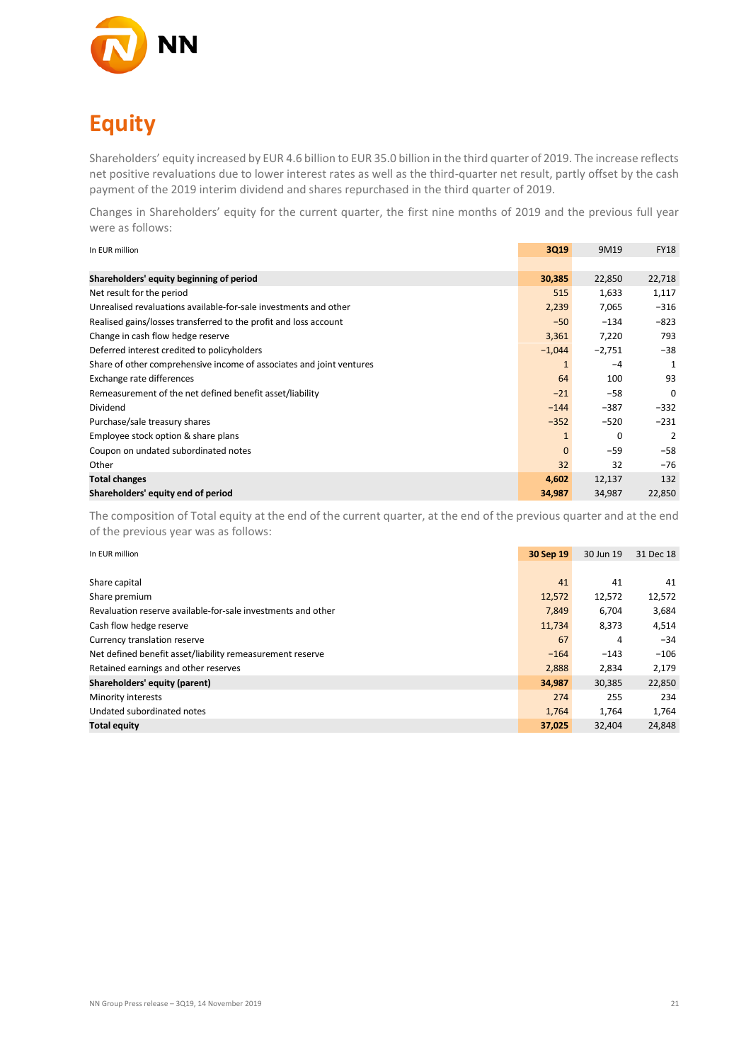

# **Equity**

Shareholders' equity increased by EUR 4.6 billion to EUR 35.0 billion in the third quarter of 2019. The increase reflects net positive revaluations due to lower interest rates as well as the third-quarter net result, partly offset by the cash payment of the 2019 interim dividend and shares repurchased in the third quarter of 2019.

Changes in Shareholders' equity for the current quarter, the first nine months of 2019 and the previous full year were as follows:

| In EUR million                                                       | 3Q19         | 9M19     | <b>FY18</b> |
|----------------------------------------------------------------------|--------------|----------|-------------|
|                                                                      |              |          |             |
| Shareholders' equity beginning of period                             | 30,385       | 22,850   | 22,718      |
| Net result for the period                                            | 515          | 1,633    | 1,117       |
| Unrealised revaluations available-for-sale investments and other     | 2,239        | 7,065    | $-316$      |
| Realised gains/losses transferred to the profit and loss account     | $-50$        | $-134$   | $-823$      |
| Change in cash flow hedge reserve                                    | 3,361        | 7,220    | 793         |
| Deferred interest credited to policyholders                          | $-1,044$     | $-2,751$ | $-38$       |
| Share of other comprehensive income of associates and joint ventures | 1            | $-4$     | 1           |
| Exchange rate differences                                            | 64           | 100      | 93          |
| Remeasurement of the net defined benefit asset/liability             | $-21$        | $-58$    | $\Omega$    |
| Dividend                                                             | $-144$       | $-387$   | $-332$      |
| Purchase/sale treasury shares                                        | $-352$       | $-520$   | $-231$      |
| Employee stock option & share plans                                  | $\mathbf{1}$ | 0        | 2           |
| Coupon on undated subordinated notes                                 | $\mathbf{0}$ | $-59$    | $-58$       |
| Other                                                                | 32           | 32       | $-76$       |
| <b>Total changes</b>                                                 | 4,602        | 12,137   | 132         |
| Shareholders' equity end of period                                   | 34,987       | 34,987   | 22,850      |

The composition of Total equity at the end of the current quarter, at the end of the previous quarter and at the end of the previous year was as follows:

| In EUR million                                               | 30 Sep 19 | 30 Jun 19 | 31 Dec 18 |
|--------------------------------------------------------------|-----------|-----------|-----------|
|                                                              |           |           |           |
| Share capital                                                | 41        | 41        | 41        |
| Share premium                                                | 12,572    | 12,572    | 12,572    |
| Revaluation reserve available-for-sale investments and other | 7,849     | 6,704     | 3,684     |
| Cash flow hedge reserve                                      | 11,734    | 8,373     | 4,514     |
| Currency translation reserve                                 | 67        | 4         | $-34$     |
| Net defined benefit asset/liability remeasurement reserve    | $-164$    | $-143$    | $-106$    |
| Retained earnings and other reserves                         | 2,888     | 2.834     | 2,179     |
| Shareholders' equity (parent)                                | 34,987    | 30,385    | 22,850    |
| Minority interests                                           | 274       | 255       | 234       |
| Undated subordinated notes                                   | 1,764     | 1,764     | 1,764     |
| <b>Total equity</b>                                          | 37,025    | 32,404    | 24,848    |
|                                                              |           |           |           |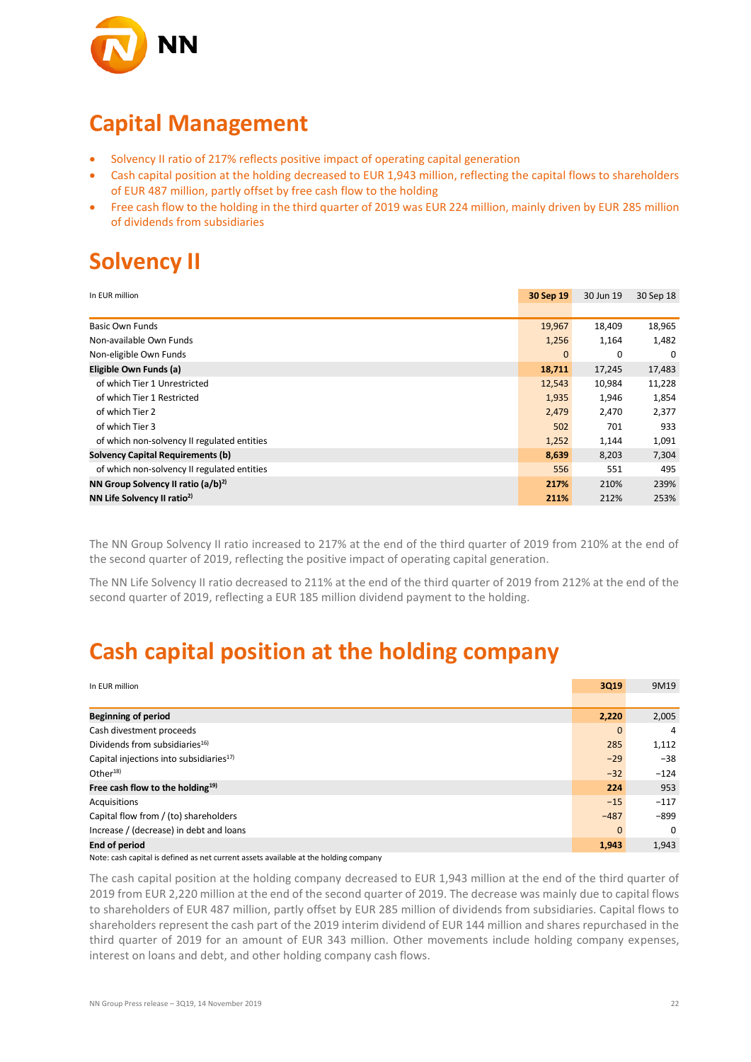

### **Capital Management**

- Solvency II ratio of 217% reflects positive impact of operating capital generation
- Cash capital position at the holding decreased to EUR 1,943 million, reflecting the capital flows to shareholders of EUR 487 million, partly offset by free cash flow to the holding
- Free cash flow to the holding in the third quarter of 2019 was EUR 224 million, mainly driven by EUR 285 million of dividends from subsidiaries

## **Solvency II**

| In EUR million                                 | 30 Sep 19    | 30 Jun 19 | 30 Sep 18 |
|------------------------------------------------|--------------|-----------|-----------|
|                                                |              |           |           |
| <b>Basic Own Funds</b>                         | 19,967       | 18,409    | 18,965    |
| Non-available Own Funds                        | 1,256        | 1,164     | 1,482     |
| Non-eligible Own Funds                         | $\mathbf{0}$ | 0         | 0         |
| Eligible Own Funds (a)                         | 18,711       | 17,245    | 17,483    |
| of which Tier 1 Unrestricted                   | 12,543       | 10,984    | 11,228    |
| of which Tier 1 Restricted                     | 1,935        | 1,946     | 1,854     |
| of which Tier 2                                | 2,479        | 2,470     | 2,377     |
| of which Tier 3                                | 502          | 701       | 933       |
| of which non-solvency II regulated entities    | 1,252        | 1,144     | 1,091     |
| <b>Solvency Capital Requirements (b)</b>       | 8,639        | 8,203     | 7,304     |
| of which non-solvency II regulated entities    | 556          | 551       | 495       |
| NN Group Solvency II ratio (a/b) <sup>2)</sup> | 217%         | 210%      | 239%      |
| NN Life Solvency II ratio <sup>2)</sup>        | 211%         | 212%      | 253%      |

The NN Group Solvency II ratio increased to 217% at the end of the third quarter of 2019 from 210% at the end of the second quarter of 2019, reflecting the positive impact of operating capital generation.

The NN Life Solvency II ratio decreased to 211% at the end of the third quarter of 2019 from 212% at the end of the second quarter of 2019, reflecting a EUR 185 million dividend payment to the holding.

### **Cash capital position at the holding company**

| In EUR million                                                                       | 3Q19   | 9M19     |
|--------------------------------------------------------------------------------------|--------|----------|
|                                                                                      |        |          |
| <b>Beginning of period</b>                                                           | 2,220  | 2,005    |
| Cash divestment proceeds                                                             | 0      | 4        |
| Dividends from subsidiaries <sup>16)</sup>                                           | 285    | 1,112    |
| Capital injections into subsidiaries <sup>17)</sup>                                  | $-29$  | $-38$    |
| Other $18$                                                                           | $-32$  | $-124$   |
| Free cash flow to the holding <sup>19)</sup>                                         | 224    | 953      |
| Acquisitions                                                                         | $-15$  | $-117$   |
| Capital flow from / (to) shareholders                                                | $-487$ | $-899$   |
| Increase / (decrease) in debt and loans                                              | 0      | $\Omega$ |
| <b>End of period</b>                                                                 | 1,943  | 1,943    |
| Note: cash capital is defined as net current assets available at the holding company |        |          |

The cash capital position at the holding company decreased to EUR 1,943 million at the end of the third quarter of 2019 from EUR 2,220 million at the end of the second quarter of 2019. The decrease was mainly due to capital flows to shareholders of EUR 487 million, partly offset by EUR 285 million of dividends from subsidiaries. Capital flows to shareholders represent the cash part of the 2019 interim dividend of EUR 144 million and shares repurchased in the third quarter of 2019 for an amount of EUR 343 million. Other movements include holding company expenses, interest on loans and debt, and other holding company cash flows.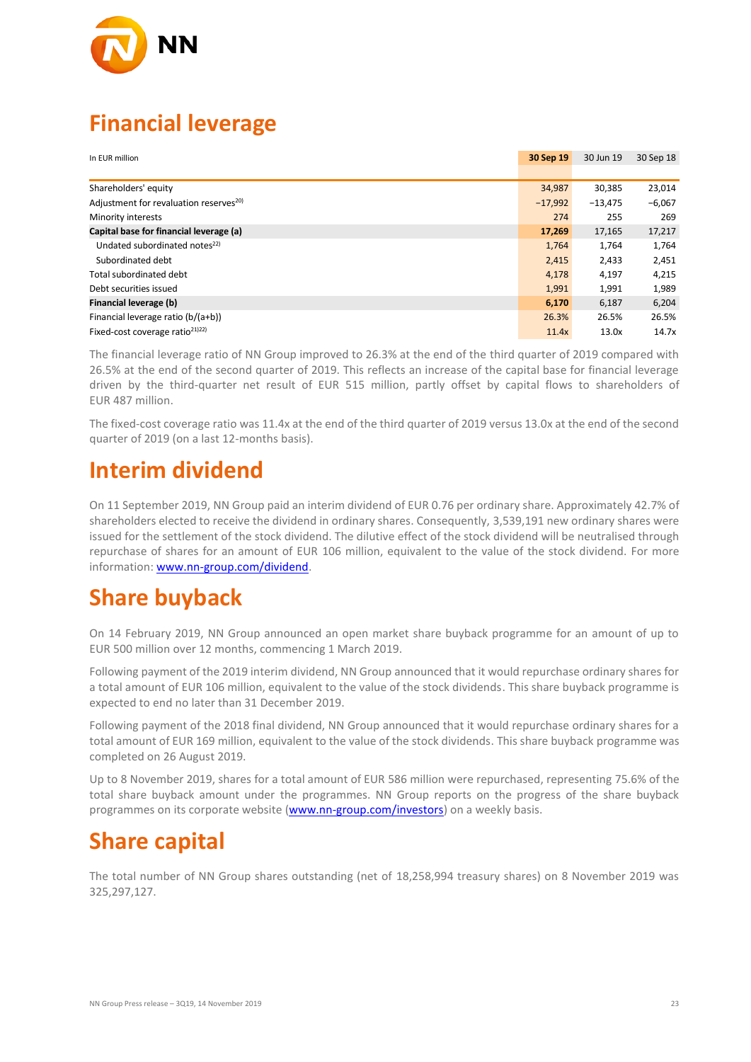

## **Financial leverage**

| In EUR million                                     | 30 Sep 19 | 30 Jun 19 | 30 Sep 18 |
|----------------------------------------------------|-----------|-----------|-----------|
|                                                    |           |           |           |
| Shareholders' equity                               | 34,987    | 30,385    | 23,014    |
| Adjustment for revaluation reserves <sup>20)</sup> | $-17.992$ | $-13,475$ | $-6,067$  |
| Minority interests                                 | 274       | 255       | 269       |
| Capital base for financial leverage (a)            | 17,269    | 17,165    | 17,217    |
| Undated subordinated notes <sup>22)</sup>          | 1,764     | 1,764     | 1,764     |
| Subordinated debt                                  | 2,415     | 2,433     | 2,451     |
| Total subordinated debt                            | 4,178     | 4,197     | 4,215     |
| Debt securities issued                             | 1,991     | 1,991     | 1,989     |
| Financial leverage (b)                             | 6,170     | 6,187     | 6,204     |
| Financial leverage ratio (b/(a+b))                 | 26.3%     | 26.5%     | 26.5%     |
| Fixed-cost coverage ratio <sup>21)22)</sup>        | 11.4x     | 13.0x     | 14.7x     |

The financial leverage ratio of NN Group improved to 26.3% at the end of the third quarter of 2019 compared with 26.5% at the end of the second quarter of 2019. This reflects an increase of the capital base for financial leverage driven by the third-quarter net result of EUR 515 million, partly offset by capital flows to shareholders of EUR 487 million.

The fixed-cost coverage ratio was 11.4x at the end of the third quarter of 2019 versus 13.0x at the end of the second quarter of 2019 (on a last 12-months basis).

### **Interim dividend**

On 11 September 2019, NN Group paid an interim dividend of EUR 0.76 per ordinary share. Approximately 42.7% of shareholders elected to receive the dividend in ordinary shares. Consequently, 3,539,191 new ordinary shares were issued for the settlement of the stock dividend. The dilutive effect of the stock dividend will be neutralised through repurchase of shares for an amount of EUR 106 million, equivalent to the value of the stock dividend. For more information: [www.nn-group.com/dividend.](http://www.nn-group.com/dividend)

## **Share buyback**

On 14 February 2019, NN Group announced an open market share buyback programme for an amount of up to EUR 500 million over 12 months, commencing 1 March 2019.

Following payment of the 2019 interim dividend, NN Group announced that it would repurchase ordinary shares for a total amount of EUR 106 million, equivalent to the value of the stock dividends. This share buyback programme is expected to end no later than 31 December 2019.

Following payment of the 2018 final dividend, NN Group announced that it would repurchase ordinary shares for a total amount of EUR 169 million, equivalent to the value of the stock dividends. This share buyback programme was completed on 26 August 2019.

Up to 8 November 2019, shares for a total amount of EUR 586 million were repurchased, representing 75.6% of the total share buyback amount under the programmes. NN Group reports on the progress of the share buyback programmes on its corporate website [\(www.nn-group.com/investors\)](http://www.nn-group.com/investors) on a weekly basis.

### **Share capital**

The total number of NN Group shares outstanding (net of 18,258,994 treasury shares) on 8 November 2019 was 325,297,127.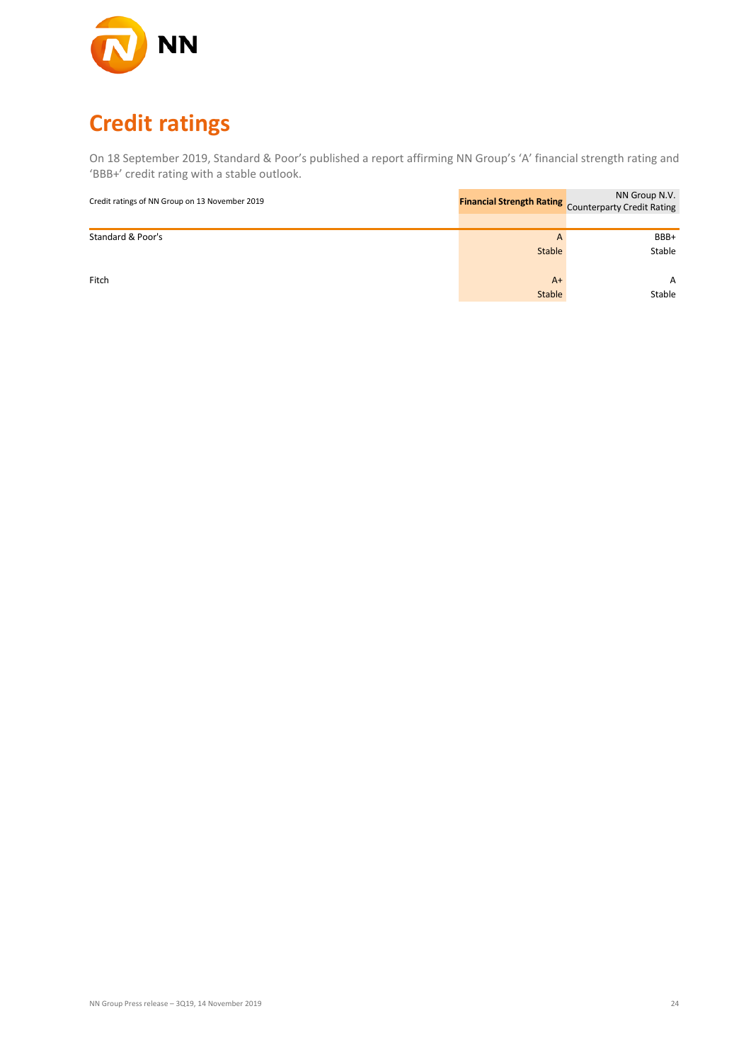

# **Credit ratings**

On 18 September 2019, Standard & Poor's published a report affirming NN Group's 'A' financial strength rating and 'BBB+' credit rating with a stable outlook.

| Credit ratings of NN Group on 13 November 2019 |        | NN Group N.V.<br><b>Financial Strength Rating</b> Counterparty Credit Rating |
|------------------------------------------------|--------|------------------------------------------------------------------------------|
|                                                |        |                                                                              |
| Standard & Poor's                              | A      | BBB+                                                                         |
|                                                | Stable | Stable                                                                       |
| Fitch                                          | $A+$   | A                                                                            |
|                                                | Stable | Stable                                                                       |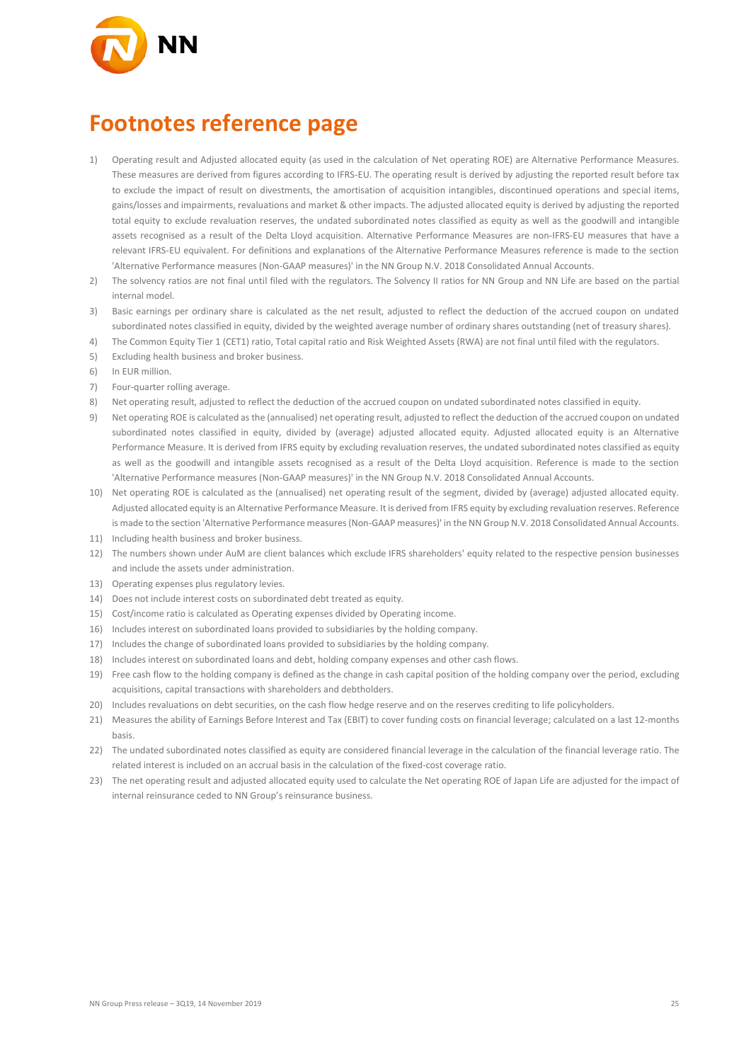

### **Footnotes reference page**

- 1) Operating result and Adjusted allocated equity (as used in the calculation of Net operating ROE) are Alternative Performance Measures. These measures are derived from figures according to IFRS-EU. The operating result is derived by adjusting the reported result before tax to exclude the impact of result on divestments, the amortisation of acquisition intangibles, discontinued operations and special items, gains/losses and impairments, revaluations and market & other impacts. The adjusted allocated equity is derived by adjusting the reported total equity to exclude revaluation reserves, the undated subordinated notes classified as equity as well as the goodwill and intangible assets recognised as a result of the Delta Lloyd acquisition. Alternative Performance Measures are non-IFRS-EU measures that have a relevant IFRS-EU equivalent. For definitions and explanations of the Alternative Performance Measures reference is made to the section 'Alternative Performance measures (Non-GAAP measures)' in the NN Group N.V. 2018 Consolidated Annual Accounts.
- 2) The solvency ratios are not final until filed with the regulators. The Solvency II ratios for NN Group and NN Life are based on the partial internal model.
- 3) Basic earnings per ordinary share is calculated as the net result, adjusted to reflect the deduction of the accrued coupon on undated subordinated notes classified in equity, divided by the weighted average number of ordinary shares outstanding (net of treasury shares).
- 4) The Common Equity Tier 1 (CET1) ratio, Total capital ratio and Risk Weighted Assets (RWA) are not final until filed with the regulators.
- 5) Excluding health business and broker business.
- 6) In EUR million.
- 7) Four-quarter rolling average.
- 8) Net operating result, adjusted to reflect the deduction of the accrued coupon on undated subordinated notes classified in equity.
- 9) Net operating ROE is calculated as the (annualised) net operating result, adjusted to reflect the deduction of the accrued coupon on undated subordinated notes classified in equity, divided by (average) adjusted allocated equity. Adjusted allocated equity is an Alternative Performance Measure. It is derived from IFRS equity by excluding revaluation reserves, the undated subordinated notes classified as equity as well as the goodwill and intangible assets recognised as a result of the Delta Lloyd acquisition. Reference is made to the section 'Alternative Performance measures (Non-GAAP measures)' in the NN Group N.V. 2018 Consolidated Annual Accounts.
- 10) Net operating ROE is calculated as the (annualised) net operating result of the segment, divided by (average) adjusted allocated equity. Adjusted allocated equity is an Alternative Performance Measure. It is derived from IFRS equity by excluding revaluation reserves. Reference is made to the section 'Alternative Performance measures (Non-GAAP measures)' in the NN Group N.V. 2018 Consolidated Annual Accounts.
- 11) Including health business and broker business.
- 12) The numbers shown under AuM are client balances which exclude IFRS shareholders' equity related to the respective pension businesses and include the assets under administration.
- 13) Operating expenses plus regulatory levies.
- 14) Does not include interest costs on subordinated debt treated as equity.
- 15) Cost/income ratio is calculated as Operating expenses divided by Operating income.
- 16) Includes interest on subordinated loans provided to subsidiaries by the holding company.
- 17) Includes the change of subordinated loans provided to subsidiaries by the holding company.
- 18) Includes interest on subordinated loans and debt, holding company expenses and other cash flows.
- 19) Free cash flow to the holding company is defined as the change in cash capital position of the holding company over the period, excluding acquisitions, capital transactions with shareholders and debtholders.
- 20) Includes revaluations on debt securities, on the cash flow hedge reserve and on the reserves crediting to life policyholders.
- 21) Measures the ability of Earnings Before Interest and Tax (EBIT) to cover funding costs on financial leverage; calculated on a last 12-months basis.
- 22) The undated subordinated notes classified as equity are considered financial leverage in the calculation of the financial leverage ratio. The related interest is included on an accrual basis in the calculation of the fixed-cost coverage ratio.
- 23) The net operating result and adjusted allocated equity used to calculate the Net operating ROE of Japan Life are adjusted for the impact of internal reinsurance ceded to NN Group's reinsurance business.